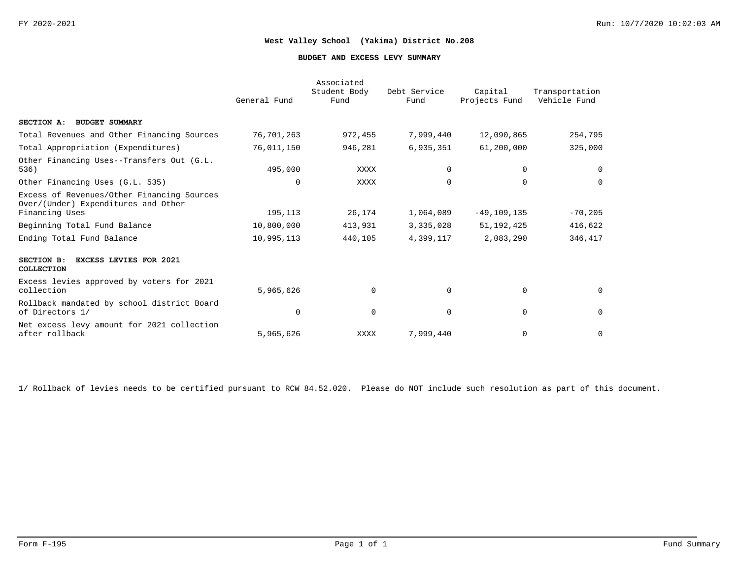#### **BUDGET AND EXCESS LEVY SUMMARY**

|                                                                                                     | General Fund | Associated<br>Student Body<br>Fund | Debt Service<br>Fund | Capital<br>Projects Fund | Transportation<br>Vehicle Fund |
|-----------------------------------------------------------------------------------------------------|--------------|------------------------------------|----------------------|--------------------------|--------------------------------|
| SECTION A: BUDGET SUMMARY                                                                           |              |                                    |                      |                          |                                |
| Total Revenues and Other Financing Sources                                                          | 76,701,263   | 972,455                            | 7,999,440            | 12,090,865               | 254,795                        |
| Total Appropriation (Expenditures)                                                                  | 76,011,150   | 946,281                            | 6,935,351            | 61,200,000               | 325,000                        |
| Other Financing Uses--Transfers Out (G.L.<br>536)                                                   | 495,000      | XXXX                               | $\Omega$             | 0                        | 0                              |
| Other Financing Uses (G.L. 535)                                                                     | $\Omega$     | XXXX                               | $\Omega$             | $\Omega$                 | $\Omega$                       |
| Excess of Revenues/Other Financing Sources<br>Over/(Under) Expenditures and Other<br>Financing Uses | 195,113      | 26,174                             | 1,064,089            | $-49, 109, 135$          | $-70,205$                      |
| Beginning Total Fund Balance                                                                        | 10,800,000   | 413,931                            | 3,335,028            | 51, 192, 425             | 416,622                        |
| Ending Total Fund Balance                                                                           | 10,995,113   | 440,105                            | 4,399,117            | 2,083,290                | 346,417                        |
| SECTION B:<br><b>EXCESS LEVIES FOR 2021</b><br>COLLECTION                                           |              |                                    |                      |                          |                                |
| Excess levies approved by voters for 2021<br>collection                                             | 5,965,626    | $\Omega$                           | $\Omega$             | $\mathbf 0$              | $\Omega$                       |
| Rollback mandated by school district Board<br>of Directors 1/                                       | $\Omega$     | $\Omega$                           | $\Omega$             | 0                        | $\mathbf{0}$                   |
| Net excess levy amount for 2021 collection<br>after rollback                                        | 5,965,626    | XXXX                               | 7,999,440            | 0                        | $\mathbf 0$                    |

1/ Rollback of levies needs to be certified pursuant to RCW 84.52.020. Please do NOT include such resolution as part of this document.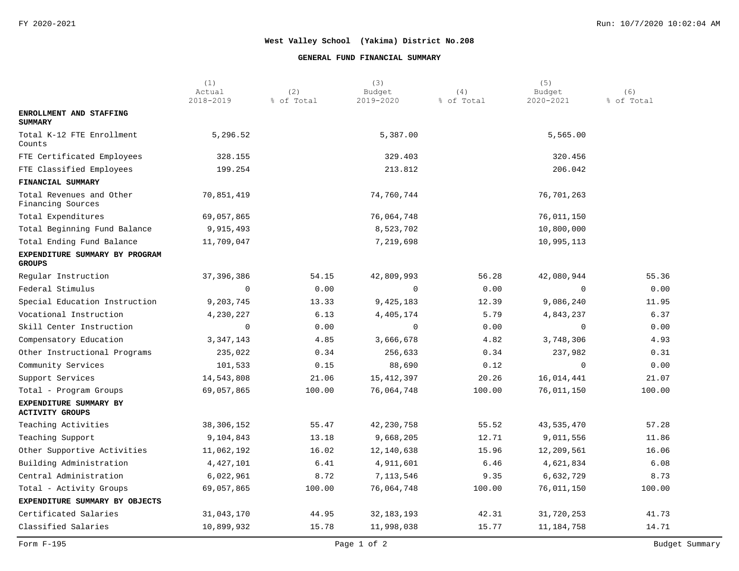### **GENERAL FUND FINANCIAL SUMMARY**

|                                                  | (1)<br>Actual | (2)        | (3)<br>Budget | (4)        | (5)<br>Budget | (6)        |
|--------------------------------------------------|---------------|------------|---------------|------------|---------------|------------|
|                                                  | 2018-2019     | % of Total | 2019-2020     | % of Total | 2020-2021     | % of Total |
| ENROLLMENT AND STAFFING<br><b>SUMMARY</b>        |               |            |               |            |               |            |
| Total K-12 FTE Enrollment<br>Counts              | 5,296.52      |            | 5,387.00      |            | 5,565.00      |            |
| FTE Certificated Employees                       | 328.155       |            | 329.403       |            | 320.456       |            |
| FTE Classified Employees                         | 199.254       |            | 213.812       |            | 206.042       |            |
| FINANCIAL SUMMARY                                |               |            |               |            |               |            |
| Total Revenues and Other<br>Financing Sources    | 70,851,419    |            | 74,760,744    |            | 76,701,263    |            |
| Total Expenditures                               | 69,057,865    |            | 76,064,748    |            | 76,011,150    |            |
| Total Beginning Fund Balance                     | 9,915,493     |            | 8,523,702     |            | 10,800,000    |            |
| Total Ending Fund Balance                        | 11,709,047    |            | 7,219,698     |            | 10,995,113    |            |
| EXPENDITURE SUMMARY BY PROGRAM<br><b>GROUPS</b>  |               |            |               |            |               |            |
| Regular Instruction                              | 37, 396, 386  | 54.15      | 42,809,993    | 56.28      | 42,080,944    | 55.36      |
| Federal Stimulus                                 | $\mathbf 0$   | 0.00       | 0             | 0.00       | $\Omega$      | 0.00       |
| Special Education Instruction                    | 9,203,745     | 13.33      | 9,425,183     | 12.39      | 9,086,240     | 11.95      |
| Vocational Instruction                           | 4,230,227     | 6.13       | 4,405,174     | 5.79       | 4,843,237     | 6.37       |
| Skill Center Instruction                         | 0             | 0.00       | $\mathbf 0$   | 0.00       | 0             | 0.00       |
| Compensatory Education                           | 3, 347, 143   | 4.85       | 3,666,678     | 4.82       | 3,748,306     | 4.93       |
| Other Instructional Programs                     | 235,022       | 0.34       | 256,633       | 0.34       | 237,982       | 0.31       |
| Community Services                               | 101,533       | 0.15       | 88,690        | 0.12       | 0             | 0.00       |
| Support Services                                 | 14,543,808    | 21.06      | 15,412,397    | 20.26      | 16,014,441    | 21.07      |
| Total - Program Groups                           | 69,057,865    | 100.00     | 76,064,748    | 100.00     | 76,011,150    | 100.00     |
| EXPENDITURE SUMMARY BY<br><b>ACTIVITY GROUPS</b> |               |            |               |            |               |            |
| Teaching Activities                              | 38, 306, 152  | 55.47      | 42,230,758    | 55.52      | 43,535,470    | 57.28      |
| Teaching Support                                 | 9,104,843     | 13.18      | 9,668,205     | 12.71      | 9,011,556     | 11.86      |
| Other Supportive Activities                      | 11,062,192    | 16.02      | 12,140,638    | 15.96      | 12,209,561    | 16.06      |
| Building Administration                          | 4,427,101     | 6.41       | 4,911,601     | 6.46       | 4,621,834     | 6.08       |
| Central Administration                           | 6,022,961     | 8.72       | 7,113,546     | 9.35       | 6,632,729     | 8.73       |
| Total - Activity Groups                          | 69,057,865    | 100.00     | 76,064,748    | 100.00     | 76,011,150    | 100.00     |
| EXPENDITURE SUMMARY BY OBJECTS                   |               |            |               |            |               |            |
| Certificated Salaries                            | 31,043,170    | 44.95      | 32, 183, 193  | 42.31      | 31,720,253    | 41.73      |
| Classified Salaries                              | 10,899,932    | 15.78      | 11,998,038    | 15.77      | 11,184,758    | 14.71      |
|                                                  |               |            |               |            |               |            |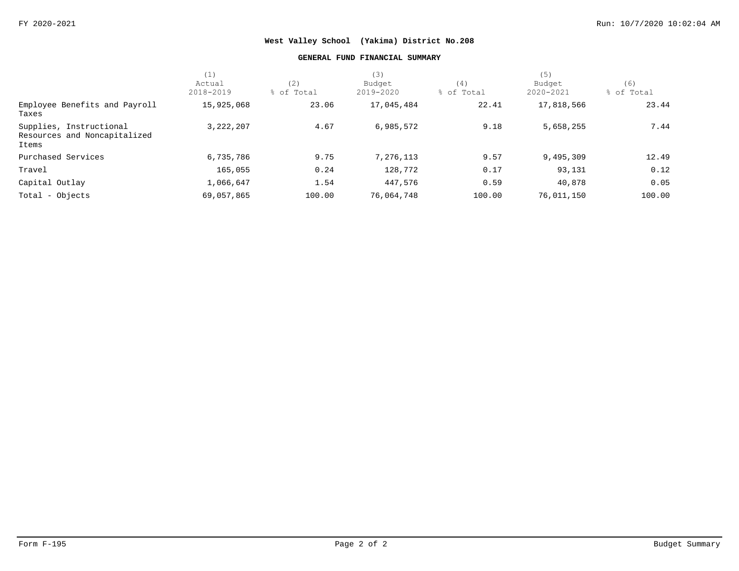### **GENERAL FUND FINANCIAL SUMMARY**

|                                                                  | (1)                 |                   | (3)                 |                   | (5)                 |                   |
|------------------------------------------------------------------|---------------------|-------------------|---------------------|-------------------|---------------------|-------------------|
|                                                                  | Actual<br>2018-2019 | (2)<br>% of Total | Budget<br>2019-2020 | (4)<br>% of Total | Budget<br>2020-2021 | (6)<br>% of Total |
| Employee Benefits and Payroll<br>Taxes                           | 15,925,068          | 23.06             | 17,045,484          | 22.41             | 17,818,566          | 23.44             |
| Supplies, Instructional<br>Resources and Noncapitalized<br>Items | 3, 222, 207         | 4.67              | 6,985,572           | 9.18              | 5,658,255           | 7.44              |
| Purchased Services                                               | 6,735,786           | 9.75              | 7,276,113           | 9.57              | 9,495,309           | 12.49             |
| Travel                                                           | 165,055             | 0.24              | 128,772             | 0.17              | 93,131              | 0.12              |
| Capital Outlay                                                   | 1,066,647           | 1.54              | 447,576             | 0.59              | 40,878              | 0.05              |
| Total - Objects                                                  | 69,057,865          | 100.00            | 76,064,748          | 100.00            | 76,011,150          | 100.00            |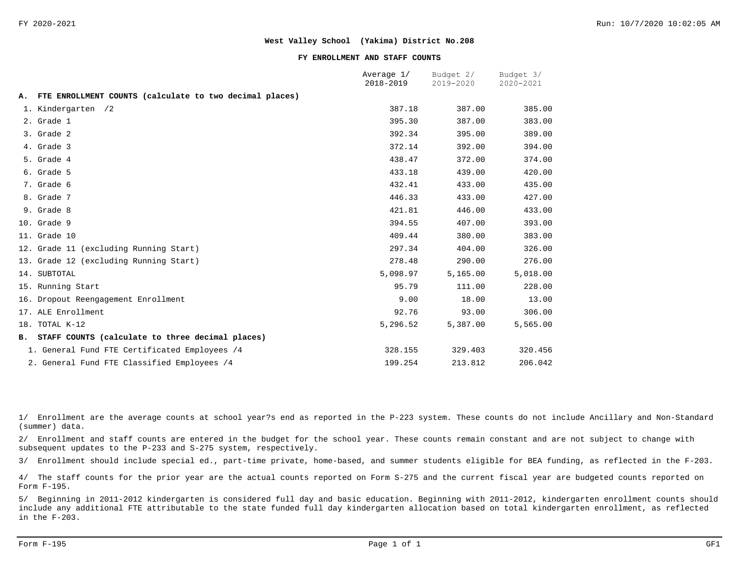#### **FY ENROLLMENT AND STAFF COUNTS**

|    |                                                         | Average 1/<br>2018-2019 | Budget 2/<br>2019-2020 | Budget 3/<br>2020-2021 |
|----|---------------------------------------------------------|-------------------------|------------------------|------------------------|
| А. | FTE ENROLLMENT COUNTS (calculate to two decimal places) |                         |                        |                        |
|    | 1. Kindergarten /2                                      | 387.18                  | 387.00                 | 385.00                 |
|    | 2. Grade 1                                              | 395.30                  | 387.00                 | 383.00                 |
|    | 3. Grade 2                                              | 392.34                  | 395.00                 | 389.00                 |
|    | 4. Grade 3                                              | 372.14                  | 392.00                 | 394.00                 |
|    | 5. Grade 4                                              | 438.47                  | 372.00                 | 374.00                 |
|    | 6. Grade 5                                              | 433.18                  | 439.00                 | 420.00                 |
|    | 7. Grade 6                                              | 432.41                  | 433.00                 | 435.00                 |
|    | 8. Grade 7                                              | 446.33                  | 433.00                 | 427.00                 |
|    | 9. Grade 8                                              | 421.81                  | 446.00                 | 433.00                 |
|    | 10. Grade 9                                             | 394.55                  | 407.00                 | 393.00                 |
|    | 11. Grade 10                                            | 409.44                  | 380.00                 | 383.00                 |
|    | 12. Grade 11 (excluding Running Start)                  | 297.34                  | 404.00                 | 326.00                 |
|    | 13. Grade 12 (excluding Running Start)                  | 278.48                  | 290.00                 | 276.00                 |
|    | 14. SUBTOTAL                                            | 5,098.97                | 5,165.00               | 5,018.00               |
|    | 15. Running Start                                       | 95.79                   | 111.00                 | 228.00                 |
|    | 16. Dropout Reengagement Enrollment                     | 9.00                    | 18.00                  | 13.00                  |
|    | 17. ALE Enrollment                                      | 92.76                   | 93.00                  | 306.00                 |
|    | 18. TOTAL K-12                                          | 5,296.52                | 5,387.00               | 5,565.00               |
|    | B. STAFF COUNTS (calculate to three decimal places)     |                         |                        |                        |
|    | 1. General Fund FTE Certificated Employees /4           | 328.155                 | 329.403                | 320.456                |
|    | 2. General Fund FTE Classified Employees /4             | 199.254                 | 213.812                | 206.042                |

1/ Enrollment are the average counts at school year?s end as reported in the P-223 system. These counts do not include Ancillary and Non-Standard (summer) data.

2/ Enrollment and staff counts are entered in the budget for the school year. These counts remain constant and are not subject to change with subsequent updates to the P-233 and S-275 system, respectively.

3/ Enrollment should include special ed., part-time private, home-based, and summer students eligible for BEA funding, as reflected in the F-203.

4/ The staff counts for the prior year are the actual counts reported on Form S-275 and the current fiscal year are budgeted counts reported on Form F-195.

5/ Beginning in 2011-2012 kindergarten is considered full day and basic education. Beginning with 2011-2012, kindergarten enrollment counts should include any additional FTE attributable to the state funded full day kindergarten allocation based on total kindergarten enrollment, as reflected in the F-203.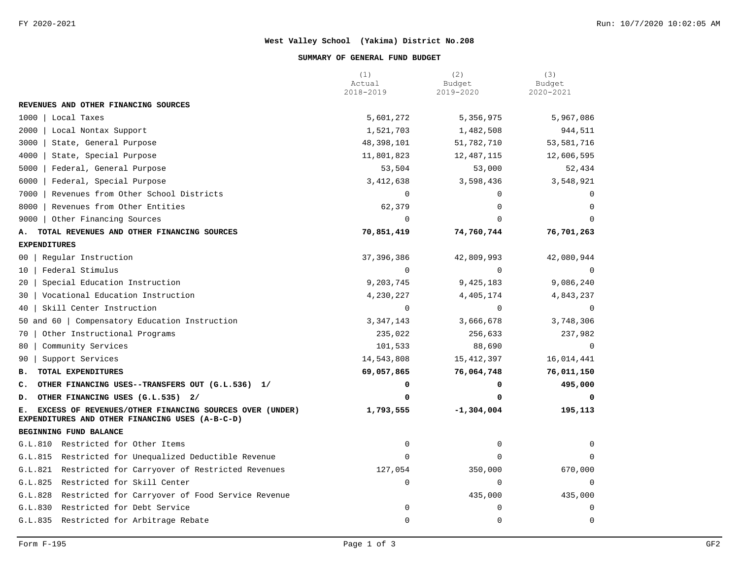#### **SUMMARY OF GENERAL FUND BUDGET**

|                                                                                                                  | (1)<br>Actual | (2)<br>Budget | (3)<br>Budget |
|------------------------------------------------------------------------------------------------------------------|---------------|---------------|---------------|
|                                                                                                                  | 2018-2019     | 2019-2020     | 2020-2021     |
| REVENUES AND OTHER FINANCING SOURCES                                                                             |               |               |               |
| 1000<br>Local Taxes                                                                                              | 5,601,272     | 5,356,975     | 5,967,086     |
| 2000<br>Local Nontax Support                                                                                     | 1,521,703     | 1,482,508     | 944,511       |
| 3000<br>State, General Purpose                                                                                   | 48,398,101    | 51,782,710    | 53,581,716    |
| 4000<br>State, Special Purpose                                                                                   | 11,801,823    | 12,487,115    | 12,606,595    |
| 5000<br>Federal, General Purpose                                                                                 | 53,504        | 53,000        | 52,434        |
| 6000<br>Federal, Special Purpose                                                                                 | 3, 412, 638   | 3,598,436     | 3,548,921     |
| 7000<br>Revenues from Other School Districts                                                                     | 0             | $\Omega$      | $\Omega$      |
| 8000<br>Revenues from Other Entities                                                                             | 62,379        | 0             | $\Omega$      |
| Other Financing Sources<br>9000                                                                                  | $\mathbf 0$   | $\Omega$      | $\Omega$      |
| TOTAL REVENUES AND OTHER FINANCING SOURCES<br>А.                                                                 | 70,851,419    | 74,760,744    | 76,701,263    |
| <b>EXPENDITURES</b>                                                                                              |               |               |               |
| Regular Instruction<br>00 <sup>1</sup>                                                                           | 37, 396, 386  | 42,809,993    | 42,080,944    |
| Federal Stimulus<br>$10-1$                                                                                       | $\Omega$      | $\Omega$      | $\Omega$      |
| 20   Special Education Instruction                                                                               | 9,203,745     | 9,425,183     | 9,086,240     |
| 30   Vocational Education Instruction                                                                            | 4,230,227     | 4,405,174     | 4,843,237     |
| 40   Skill Center Instruction                                                                                    | $\Omega$      | $\Omega$      | $\Omega$      |
| 50 and 60   Compensatory Education Instruction                                                                   | 3, 347, 143   | 3,666,678     | 3,748,306     |
| Other Instructional Programs<br>70                                                                               | 235,022       | 256,633       | 237,982       |
| Community Services<br>80                                                                                         | 101,533       | 88,690        | $\Omega$      |
| Support Services<br>90                                                                                           | 14,543,808    | 15, 412, 397  | 16,014,441    |
| TOTAL EXPENDITURES<br><b>B.</b>                                                                                  | 69,057,865    | 76,064,748    | 76,011,150    |
| C. OTHER FINANCING USES--TRANSFERS OUT (G.L.536) 1/                                                              | 0             | 0             | 495,000       |
| D. OTHER FINANCING USES (G.L.535) 2/                                                                             | 0             | 0             | 0             |
| EXCESS OF REVENUES/OTHER FINANCING SOURCES OVER (UNDER)<br>Е.<br>EXPENDITURES AND OTHER FINANCING USES (A-B-C-D) | 1,793,555     | $-1,304,004$  | 195,113       |
| BEGINNING FUND BALANCE                                                                                           |               |               |               |
| G.L.810 Restricted for Other Items                                                                               | $\mathbf 0$   | 0             | 0             |
| G.L.815 Restricted for Unequalized Deductible Revenue                                                            | $\Omega$      | $\Omega$      | $\Omega$      |
| G.L.821 Restricted for Carryover of Restricted Revenues                                                          | 127,054       | 350,000       | 670,000       |
| G.L.825 Restricted for Skill Center                                                                              | $\mathbf 0$   | 0             | 0             |
| G.L.828 Restricted for Carryover of Food Service Revenue                                                         |               | 435,000       | 435,000       |
| G.L.830 Restricted for Debt Service                                                                              | $\mathbf 0$   | $\mathbf 0$   | $\mathbf 0$   |
| G.L.835 Restricted for Arbitrage Rebate                                                                          | 0             | $\mathbf 0$   | $\mathbf 0$   |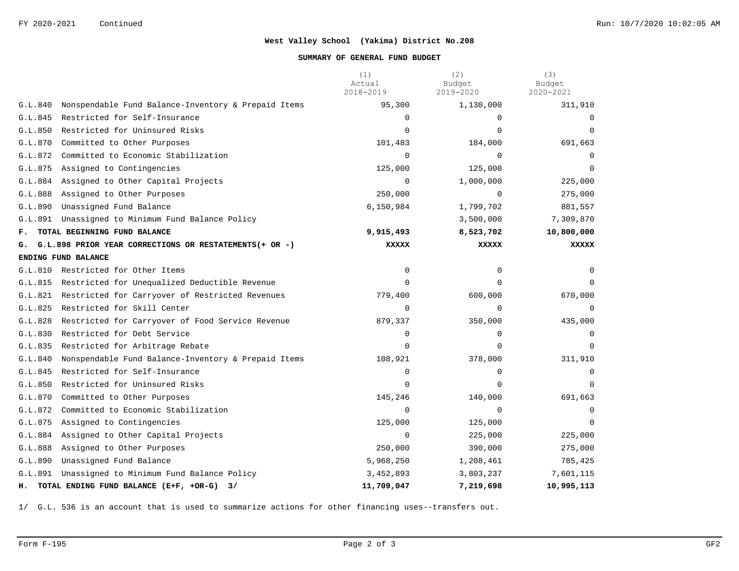### **SUMMARY OF GENERAL FUND BUDGET**

|         |                                                            | (1)<br>Actual<br>2018-2019 | (2)<br>Budget<br>2019-2020 | (3)<br>Budget<br>2020-2021 |
|---------|------------------------------------------------------------|----------------------------|----------------------------|----------------------------|
| G.L.840 | Nonspendable Fund Balance-Inventory & Prepaid Items        | 95,300                     | 1,130,000                  | 311,910                    |
| G.L.845 | Restricted for Self-Insurance                              | $\Omega$                   | $\Omega$                   | $\Omega$                   |
| G.L.850 | Restricted for Uninsured Risks                             | $\Omega$                   | $\Omega$                   | $\Omega$                   |
| G.L.870 | Committed to Other Purposes                                | 101,483                    | 184,000                    | 691,663                    |
| G.L.872 | Committed to Economic Stabilization                        | $\Omega$                   | $\Omega$                   | $\Omega$                   |
| G.L.875 | Assigned to Contingencies                                  | 125,000                    | 125,000                    |                            |
| G.L.884 | Assigned to Other Capital Projects                         | $\mathbf 0$                | 1,000,000                  | 225,000                    |
| G.L.888 | Assigned to Other Purposes                                 | 250,000                    | $\mathbf 0$                | 275,000                    |
| G.L.890 | Unassigned Fund Balance                                    | 6,150,984                  | 1,799,702                  | 881,557                    |
| G.L.891 | Unassigned to Minimum Fund Balance Policy                  |                            | 3,500,000                  | 7,309,870                  |
| F.      | TOTAL BEGINNING FUND BALANCE                               | 9,915,493                  | 8,523,702                  | 10,800,000                 |
|         | G. G.L.898 PRIOR YEAR CORRECTIONS OR RESTATEMENTS (+ OR -) | XXXXX                      | <b>XXXXX</b>               | XXXXX                      |
|         | ENDING FUND BALANCE                                        |                            |                            |                            |
|         | G.L.810 Restricted for Other Items                         | $\mathbf 0$                | 0                          | $\Omega$                   |
| G.L.815 | Restricted for Unequalized Deductible Revenue              | $\mathbf 0$                | $\Omega$                   | 0                          |
|         | G.L.821 Restricted for Carryover of Restricted Revenues    | 779,400                    | 600,000                    | 670,000                    |
| G.L.825 | Restricted for Skill Center                                | $\Omega$                   | $\Omega$                   | $\Omega$                   |
| G.L.828 | Restricted for Carryover of Food Service Revenue           | 879,337                    | 350,000                    | 435,000                    |
| G.L.830 | Restricted for Debt Service                                | 0                          | $\mathbf 0$                |                            |
| G.L.835 | Restricted for Arbitrage Rebate                            | $\Omega$                   | $\Omega$                   | $\Omega$                   |
| G.L.840 | Nonspendable Fund Balance-Inventory & Prepaid Items        | 108,921                    | 378,000                    | 311,910                    |
| G.L.845 | Restricted for Self-Insurance                              | $\mathbf 0$                | $\mathbf 0$                | 0                          |
| G.L.850 | Restricted for Uninsured Risks                             | $\mathbf 0$                | 0                          | 0                          |
| G.L.870 | Committed to Other Purposes                                | 145,246                    | 140,000                    | 691,663                    |
| G.L.872 | Committed to Economic Stabilization                        | 0                          | $\mathbf 0$                | $\Omega$                   |
| G.L.875 | Assigned to Contingencies                                  | 125,000                    | 125,000                    | $\Omega$                   |
| G.L.884 | Assigned to Other Capital Projects                         | $\mathbf 0$                | 225,000                    | 225,000                    |
| G.L.888 | Assigned to Other Purposes                                 | 250,000                    | 390,000                    | 275,000                    |
| G.L.890 | Unassigned Fund Balance                                    | 5,968,250                  | 1,208,461                  | 785,425                    |
|         | G.L.891 Unassigned to Minimum Fund Balance Policy          | 3,452,893                  | 3,803,237                  | 7,601,115                  |
| н.      | TOTAL ENDING FUND BALANCE (E+F, +OR-G)<br>3/               | 11,709,047                 | 7,219,698                  | 10,995,113                 |

1/ G.L. 536 is an account that is used to summarize actions for other financing uses--transfers out.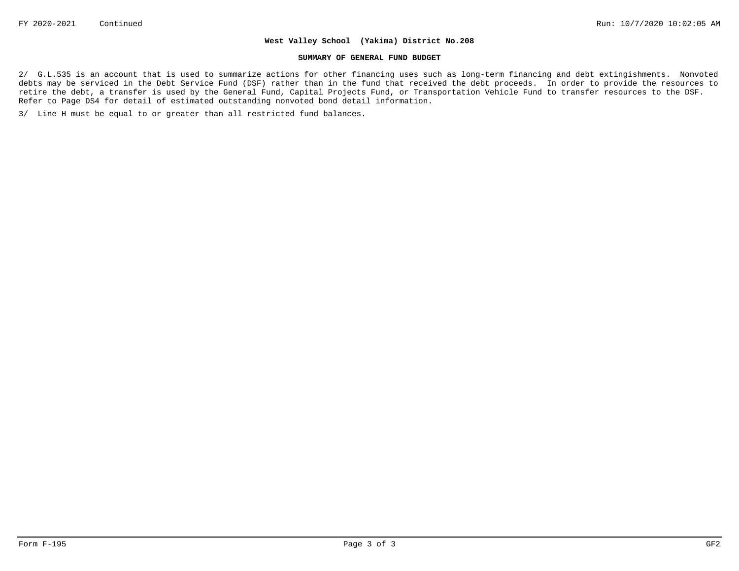#### **SUMMARY OF GENERAL FUND BUDGET**

2/ G.L.535 is an account that is used to summarize actions for other financing uses such as long-term financing and debt extingishments. Nonvoted debts may be serviced in the Debt Service Fund (DSF) rather than in the fund that received the debt proceeds. In order to provide the resources to retire the debt, a transfer is used by the General Fund, Capital Projects Fund, or Transportation Vehicle Fund to transfer resources to the DSF. Refer to Page DS4 for detail of estimated outstanding nonvoted bond detail information.

3/ Line H must be equal to or greater than all restricted fund balances.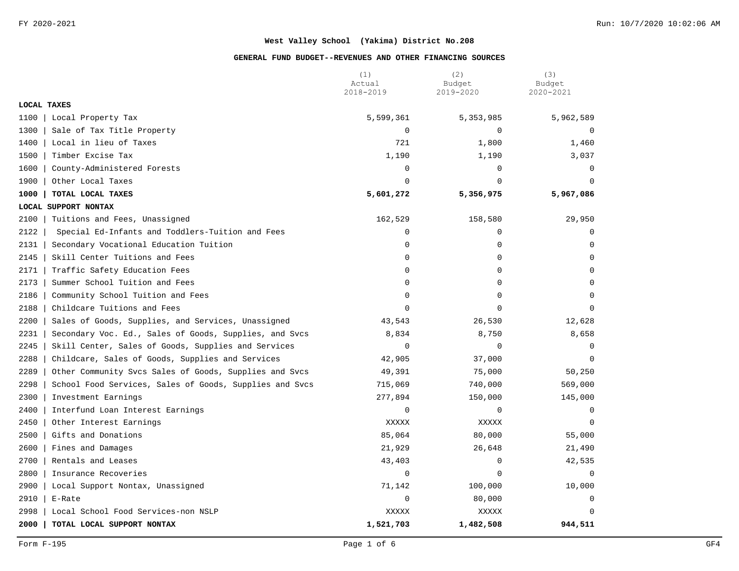|             |                                                         | (1)<br>Actual | (2)<br>Budget | (3)<br>Budget |
|-------------|---------------------------------------------------------|---------------|---------------|---------------|
|             |                                                         | 2018-2019     | 2019-2020     | 2020-2021     |
| LOCAL TAXES |                                                         |               |               |               |
| 1100        | Local Property Tax                                      | 5,599,361     | 5,353,985     | 5,962,589     |
| 1300        | Sale of Tax Title Property                              | 0             | $\mathbf 0$   | $\Omega$      |
| 1400        | Local in lieu of Taxes                                  | 721           | 1,800         | 1,460         |
| 1500        | Timber Excise Tax                                       | 1,190         | 1,190         | 3,037         |
| 1600        | County-Administered Forests                             | 0             | $\mathbf 0$   | $\mathbf 0$   |
| 1900        | Other Local Taxes                                       | $\Omega$      | $\Omega$      | $\Omega$      |
| 1000        | TOTAL LOCAL TAXES                                       | 5,601,272     | 5,356,975     | 5,967,086     |
|             | LOCAL SUPPORT NONTAX                                    |               |               |               |
| 2100        | Tuitions and Fees, Unassigned                           | 162,529       | 158,580       | 29,950        |
| 2122        | Special Ed-Infants and Toddlers-Tuition and Fees        | 0             | $\mathbf 0$   | $\mathbf 0$   |
| 2131        | Secondary Vocational Education Tuition                  | 0             | $\mathbf 0$   | $\Omega$      |
| 2145        | Skill Center Tuitions and Fees                          | 0             | $\mathbf 0$   | $\Omega$      |
| 2171        | Traffic Safety Education Fees                           | 0             | $\mathbf 0$   | $\Omega$      |
| 2173        | Summer School Tuition and Fees                          | 0             | $\Omega$      | $\Omega$      |
| 2186        | Community School Tuition and Fees                       | 0             | $\mathbf 0$   | $\Omega$      |
| 2188        | Childcare Tuitions and Fees                             | $\Omega$      | $\mathbf 0$   | $\Omega$      |
| 2200        | Sales of Goods, Supplies, and Services, Unassigned      | 43,543        | 26,530        | 12,628        |
| 2231        | Secondary Voc. Ed., Sales of Goods, Supplies, and Svcs  | 8,834         | 8,750         | 8,658         |
| 2245        | Skill Center, Sales of Goods, Supplies and Services     | $\mathbf 0$   | 0             | 0             |
| 2288        | Childcare, Sales of Goods, Supplies and Services        | 42,905        | 37,000        | $\mathbf 0$   |
| 2289        | Other Community Svcs Sales of Goods, Supplies and Svcs  | 49,391        | 75,000        | 50,250        |
| 2298        | School Food Services, Sales of Goods, Supplies and Svcs | 715,069       | 740,000       | 569,000       |
| 2300        | Investment Earnings                                     | 277,894       | 150,000       | 145,000       |
| 2400        | Interfund Loan Interest Earnings                        | $\mathbf 0$   | 0             | $\mathbf 0$   |
| 2450        | Other Interest Earnings                                 | XXXXX         | XXXXX         | $\mathbf 0$   |
| 2500        | Gifts and Donations                                     | 85,064        | 80,000        | 55,000        |
| 2600        | Fines and Damages                                       | 21,929        | 26,648        | 21,490        |
| 2700        | Rentals and Leases                                      | 43,403        | $\mathbf 0$   | 42,535        |
| 2800        | Insurance Recoveries                                    | $\mathbf 0$   | $\Omega$      | $\Omega$      |
| 2900        | Local Support Nontax, Unassigned                        | 71,142        | 100,000       | 10,000        |
| 2910        | E-Rate                                                  | 0             | 80,000        | $\Omega$      |
| 2998        | Local School Food Services-non NSLP                     | XXXXX         | XXXXX         | $\Omega$      |
| 2000        | TOTAL LOCAL SUPPORT NONTAX                              | 1,521,703     | 1,482,508     | 944,511       |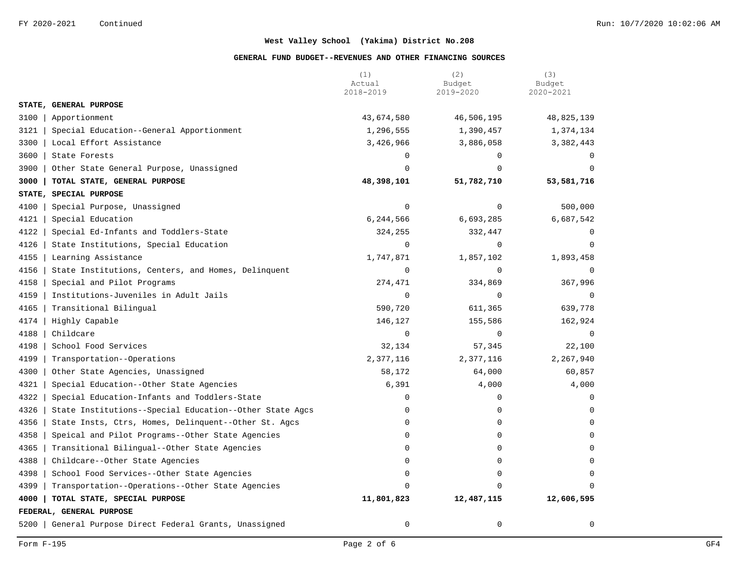|                                                                 | (1)<br>Actual | (2)<br>Budget | (3)<br>Budget |
|-----------------------------------------------------------------|---------------|---------------|---------------|
|                                                                 | 2018-2019     | 2019-2020     | 2020-2021     |
| STATE, GENERAL PURPOSE                                          |               |               |               |
| 3100<br>Apportionment                                           | 43,674,580    | 46,506,195    | 48,825,139    |
| 3121<br>Special Education--General Apportionment                | 1,296,555     | 1,390,457     | 1,374,134     |
| 3300<br>Local Effort Assistance                                 | 3,426,966     | 3,886,058     | 3,382,443     |
| 3600<br>State Forests                                           | $\Omega$      | $\Omega$      | $\Omega$      |
| 3900<br>Other State General Purpose, Unassigned                 | $\Omega$      | $\Omega$      | $\Omega$      |
| 3000<br>TOTAL STATE, GENERAL PURPOSE                            | 48,398,101    | 51,782,710    | 53,581,716    |
| STATE, SPECIAL PURPOSE                                          |               |               |               |
| 4100<br>Special Purpose, Unassigned                             | $\mathbf 0$   | $\mathbf 0$   | 500,000       |
| 4121<br>Special Education                                       | 6,244,566     | 6,693,285     | 6,687,542     |
| 4122<br>Special Ed-Infants and Toddlers-State                   | 324,255       | 332,447       | $\Omega$      |
| 4126<br>State Institutions, Special Education                   | $\Omega$      | $\Omega$      | $\Omega$      |
| 4155<br>Learning Assistance                                     | 1,747,871     | 1,857,102     | 1,893,458     |
| 4156<br>State Institutions, Centers, and Homes, Delinquent      | $\mathbf 0$   | $\mathbf 0$   | $\Omega$      |
| 4158<br>Special and Pilot Programs                              | 274,471       | 334,869       | 367,996       |
| 4159<br>Institutions-Juveniles in Adult Jails                   | $\mathbf 0$   | $\mathbf 0$   | $\mathbf 0$   |
| 4165<br>Transitional Bilingual                                  | 590,720       | 611,365       | 639,778       |
| 4174<br>Highly Capable                                          | 146,127       | 155,586       | 162,924       |
| 4188<br>Childcare                                               | $\Omega$      | $\Omega$      | $\Omega$      |
| 4198<br>School Food Services                                    | 32,134        | 57,345        | 22,100        |
| 4199<br>Transportation--Operations                              | 2,377,116     | 2,377,116     | 2,267,940     |
| 4300<br>Other State Agencies, Unassigned                        | 58,172        | 64,000        | 60,857        |
| 4321<br>Special Education--Other State Agencies                 | 6,391         | 4,000         | 4,000         |
| 4322<br>Special Education-Infants and Toddlers-State            | $\Omega$      | $\mathbf 0$   | $\Omega$      |
| 4326<br>State Institutions--Special Education--Other State Agcs | 0             | $\Omega$      | $\Omega$      |
| 4356<br>State Insts, Ctrs, Homes, Delinquent--Other St. Agcs    | $\Omega$      | $\Omega$      | $\cap$        |
| 4358<br>Speical and Pilot Programs--Other State Agencies        | $\Omega$      | $\mathbf 0$   |               |
| 4365<br>Transitional Bilingual--Other State Agencies            | $\Omega$      | $\mathbf 0$   | 0             |
| 4388<br>Childcare--Other State Agencies                         | 0             | $\mathbf 0$   | $\Omega$      |
| 4398<br>School Food Services--Other State Agencies              | $\Omega$      | $\Omega$      | $\Omega$      |
| 4399<br>Transportation--Operations--Other State Agencies        | $\Omega$      | $\Omega$      | $\Omega$      |
| 4000<br>TOTAL STATE, SPECIAL PURPOSE                            | 11,801,823    | 12,487,115    | 12,606,595    |
| FEDERAL, GENERAL PURPOSE                                        |               |               |               |
| 5200<br>General Purpose Direct Federal Grants, Unassigned       | $\mathbf 0$   | $\mathbf 0$   | $\mathbf 0$   |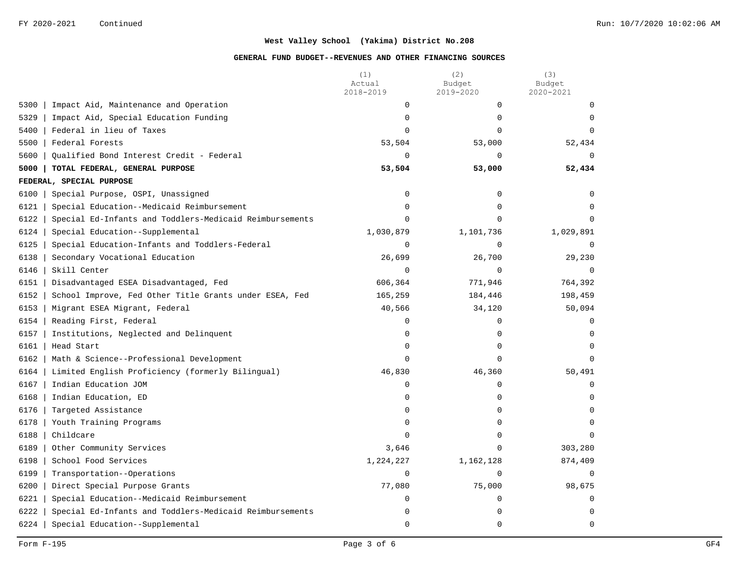|                                                                 | (1)<br>Actual<br>2018-2019 | (2)<br>Budget<br>2019-2020 | (3)<br>Budget<br>2020-2021 |
|-----------------------------------------------------------------|----------------------------|----------------------------|----------------------------|
| 5300<br>Impact Aid, Maintenance and Operation                   | 0                          | $\Omega$                   | $\Omega$                   |
| 5329<br>Impact Aid, Special Education Funding                   | $\mathbf 0$                | 0                          | $\Omega$                   |
| 5400<br>Federal in lieu of Taxes                                | $\Omega$                   | $\Omega$                   | $\Omega$                   |
| 5500<br>Federal Forests                                         | 53,504                     | 53,000                     | 52,434                     |
| 5600<br>Qualified Bond Interest Credit - Federal                | 0                          | 0                          | $\mathbf 0$                |
| TOTAL FEDERAL, GENERAL PURPOSE<br>5000                          | 53,504                     | 53,000                     | 52,434                     |
| FEDERAL, SPECIAL PURPOSE                                        |                            |                            |                            |
| 6100<br>Special Purpose, OSPI, Unassigned                       | 0                          | 0                          | $\mathbf 0$                |
| 6121<br>Special Education--Medicaid Reimbursement               | $\Omega$                   | 0                          | $\Omega$                   |
| 6122<br>Special Ed-Infants and Toddlers-Medicaid Reimbursements | $\Omega$                   | $\Omega$                   | $\Omega$                   |
| 6124<br>Special Education--Supplemental                         | 1,030,879                  | 1,101,736                  | 1,029,891                  |
| 6125<br>Special Education-Infants and Toddlers-Federal          | $\mathbf 0$                | $\Omega$                   | $\mathbf 0$                |
| 6138<br>Secondary Vocational Education                          | 26,699                     | 26,700                     | 29,230                     |
| 6146<br>Skill Center                                            | $\mathbf 0$                | 0                          | $\Omega$                   |
| 6151<br>Disadvantaged ESEA Disadvantaged, Fed                   | 606,364                    | 771,946                    | 764,392                    |
| 6152<br>School Improve, Fed Other Title Grants under ESEA, Fed  | 165,259                    | 184,446                    | 198,459                    |
| 6153<br>Migrant ESEA Migrant, Federal                           | 40,566                     | 34,120                     | 50,094                     |
| 6154<br>Reading First, Federal                                  | 0                          | 0                          | 0                          |
| 6157<br>Institutions, Neglected and Delinquent                  | $\Omega$                   | $\Omega$                   | $\Omega$                   |
| 6161<br>Head Start                                              | $\mathbf 0$                | 0                          | $\mathbf 0$                |
| 6162<br>Math & Science--Professional Development                | $\Omega$                   | $\Omega$                   | $\Omega$                   |
| 6164<br>Limited English Proficiency (formerly Bilingual)        | 46,830                     | 46,360                     | 50,491                     |
| 6167<br>Indian Education JOM                                    | $\mathbf 0$                | 0                          | $\mathbf 0$                |
| 6168<br>Indian Education, ED                                    | 0                          | 0                          | $\mathbf 0$                |
| 6176<br>Targeted Assistance                                     | $\Omega$                   | 0                          | $\Omega$                   |
| 6178<br>Youth Training Programs                                 | 0                          | 0                          | $\Omega$                   |
| 6188<br>Childcare                                               | $\Omega$                   | 0                          | $\Omega$                   |
| 6189<br>Other Community Services                                | 3,646                      | $\Omega$                   | 303,280                    |
| 6198<br>School Food Services                                    | 1,224,227                  | 1,162,128                  | 874,409                    |
| 6199<br>Transportation--Operations                              | $\Omega$                   | $\Omega$                   | $\mathbf 0$                |
| 6200<br>Direct Special Purpose Grants                           | 77,080                     | 75,000                     | 98,675                     |
| 6221<br>Special Education--Medicaid Reimbursement               | $\mathbf 0$                | 0                          | $\mathbf 0$                |
| 6222<br>Special Ed-Infants and Toddlers-Medicaid Reimbursements | $\mathbf 0$                | 0                          | 0                          |
| 6224<br>Special Education--Supplemental                         | $\mathbf 0$                | 0                          | $\mathbf 0$                |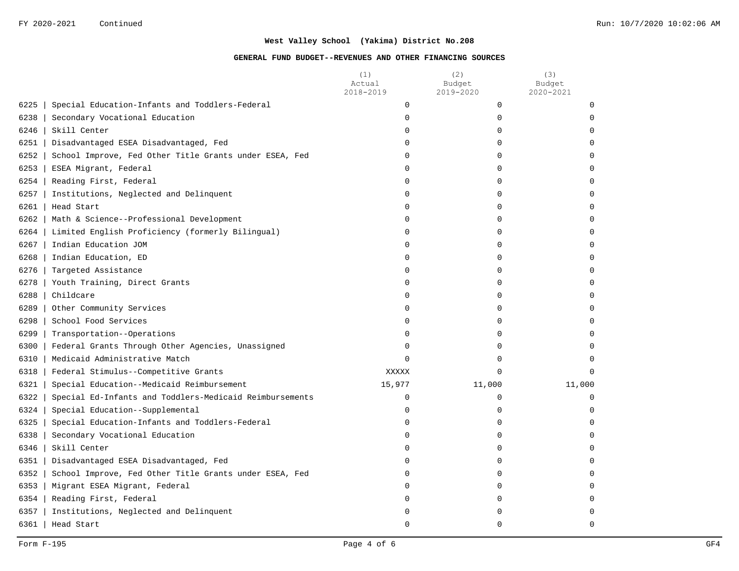|                                                           |                                                         | (1)<br>Actual<br>2018-2019 | (2)<br>Budget<br>2019-2020 | (3)<br>Budget<br>2020-2021 |
|-----------------------------------------------------------|---------------------------------------------------------|----------------------------|----------------------------|----------------------------|
| 6225<br>Special Education-Infants and Toddlers-Federal    |                                                         | $\mathbf 0$                | $\mathbf 0$                | $\mathbf 0$                |
| 6238<br>Secondary Vocational Education                    |                                                         | $\mathbf 0$                | 0                          | U                          |
| 6246<br>Skill Center                                      |                                                         | 0                          | 0                          |                            |
| 6251<br>Disadvantaged ESEA Disadvantaged, Fed             |                                                         | $\Omega$                   | $\mathbf 0$                |                            |
| 6252                                                      | School Improve, Fed Other Title Grants under ESEA, Fed  | $\Omega$                   | $\Omega$                   |                            |
| $6253$  <br>ESEA Migrant, Federal                         |                                                         | 0                          | $\mathbf 0$                |                            |
| $6254$  <br>Reading First, Federal                        |                                                         | 0                          | 0                          |                            |
| 6257<br>Institutions, Neglected and Delinquent            |                                                         | 0                          | 0                          |                            |
| 6261<br>Head Start                                        |                                                         | 0                          | 0                          |                            |
| Math & Science--Professional Development<br>6262          |                                                         | $\Omega$                   | 0                          |                            |
| 6264<br>Limited English Proficiency (formerly Bilingual)  |                                                         | 0                          | $\mathbf 0$                |                            |
| 6267<br>Indian Education JOM                              |                                                         | 0                          | U                          |                            |
| 6268<br>Indian Education, ED                              |                                                         | $\Omega$                   | O                          |                            |
| $6276$  <br>Targeted Assistance                           |                                                         | $\Omega$                   | O                          |                            |
| 6278<br>Youth Training, Direct Grants                     |                                                         | $\Omega$                   | $\Omega$                   |                            |
| 6288<br>Childcare                                         |                                                         | $\Omega$                   | $\Omega$                   |                            |
| $6289$  <br>Other Community Services                      |                                                         | 0                          | $\mathbf 0$                |                            |
| 6298  <br>School Food Services                            |                                                         | 0                          | $\mathbf 0$                |                            |
| 6299<br>Transportation--Operations                        |                                                         | 0                          | 0                          |                            |
| Federal Grants Through Other Agencies, Unassigned<br>6300 |                                                         | 0                          | 0                          |                            |
| Medicaid Administrative Match<br>6310                     |                                                         | $\Omega$                   | 0                          |                            |
| 6318<br>Federal Stimulus--Competitive Grants              |                                                         | XXXXX                      | $\mathbf 0$                | $\Omega$                   |
| 6321<br>Special Education--Medicaid Reimbursement         |                                                         | 15,977                     | 11,000                     | 11,000                     |
| 6322                                                      | Special Ed-Infants and Toddlers-Medicaid Reimbursements | $\mathbf 0$                | 0                          | $\mathbf 0$                |
| 6324<br>Special Education--Supplemental                   |                                                         | $\mathbf 0$                | $\mathbf 0$                | $\Omega$                   |
| Special Education-Infants and Toddlers-Federal<br>6325    |                                                         | $\Omega$                   | O                          |                            |
| 6338<br>Secondary Vocational Education                    |                                                         | $\Omega$                   | $\Omega$                   |                            |
| 6346<br>Skill Center                                      |                                                         | 0                          | 0                          |                            |
| 6351<br>Disadvantaged ESEA Disadvantaged, Fed             |                                                         | 0                          | 0                          |                            |
| 6352                                                      | School Improve, Fed Other Title Grants under ESEA, Fed  | 0                          | 0                          |                            |
| 6353  <br>Migrant ESEA Migrant, Federal                   |                                                         | 0                          | $\mathbf 0$                |                            |
| $6354$  <br>Reading First, Federal                        |                                                         | O                          | $\mathbf 0$                |                            |
| Institutions, Neglected and Delinquent<br>6357            |                                                         | O                          | O                          |                            |
| $6361$   Head Start                                       |                                                         | $\mathbf 0$                | $\Omega$                   | $\cap$                     |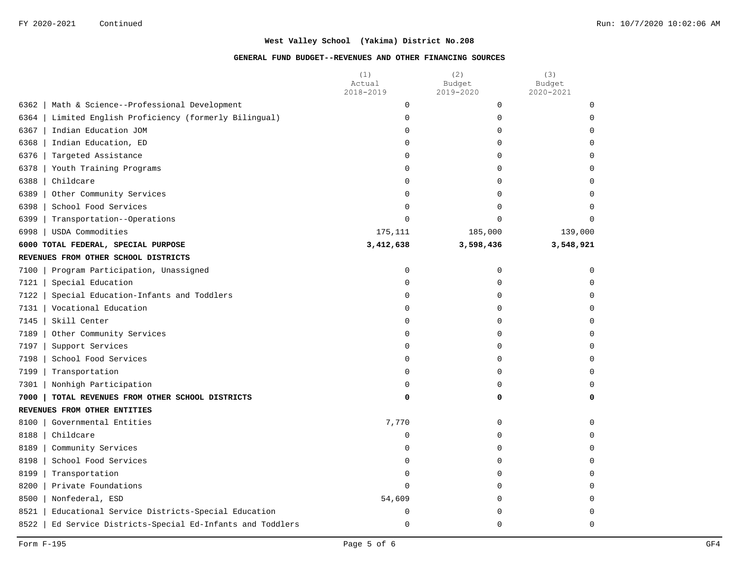|      |                                                      | (1)<br>Actual<br>2018-2019 | (2)<br>Budget<br>2019-2020 | (3)<br>Budget<br>2020-2021 |
|------|------------------------------------------------------|----------------------------|----------------------------|----------------------------|
| 6362 | Math & Science--Professional Development             | 0                          | 0                          | $\mathbf 0$                |
| 6364 | Limited English Proficiency (formerly Bilingual)     | 0                          | 0                          | $\Omega$                   |
| 6367 | Indian Education JOM                                 | 0                          | $\mathbf 0$                | $\mathbf 0$                |
| 6368 | Indian Education, ED                                 | 0                          | $\Omega$                   | 0                          |
| 6376 | Targeted Assistance                                  | 0                          | $\Omega$                   | $\Omega$                   |
| 6378 | Youth Training Programs                              | 0                          | $\mathbf 0$                | 0                          |
| 6388 | Childcare                                            | 0                          | $\mathbf 0$                | 0                          |
| 6389 | Other Community Services                             | 0                          | $\Omega$                   | $\Omega$                   |
| 6398 | School Food Services                                 | 0                          | $\Omega$                   | $\Omega$                   |
| 6399 | Transportation--Operations                           | 0                          | $\Omega$                   | $\mathbf 0$                |
| 6998 | USDA Commodities                                     | 175,111                    | 185,000                    | 139,000                    |
|      | 6000 TOTAL FEDERAL, SPECIAL PURPOSE                  | 3,412,638                  | 3,598,436                  | 3,548,921                  |
|      | REVENUES FROM OTHER SCHOOL DISTRICTS                 |                            |                            |                            |
| 7100 | Program Participation, Unassigned                    | 0                          | $\mathbf 0$                | $\mathbf 0$                |
| 7121 | Special Education                                    | 0                          | $\mathbf 0$                | $\mathbf 0$                |
| 7122 | Special Education-Infants and Toddlers               | 0                          | 0                          | $\Omega$                   |
| 7131 | Vocational Education                                 | 0                          | $\Omega$                   | $\Omega$                   |
| 7145 | Skill Center                                         | 0                          | $\mathbf 0$                | $\mathbf 0$                |
| 7189 | Other Community Services                             | 0                          | 0                          | 0                          |
| 7197 | Support Services                                     | 0                          | 0                          | 0                          |
| 7198 | School Food Services                                 | 0                          | $\Omega$                   | $\Omega$                   |
| 7199 | Transportation                                       | 0                          | 0                          | 0                          |
| 7301 | Nonhigh Participation                                | 0                          | $\Omega$                   | 0                          |
| 7000 | TOTAL REVENUES FROM OTHER SCHOOL DISTRICTS           | 0                          | 0                          | 0                          |
|      | REVENUES FROM OTHER ENTITIES                         |                            |                            |                            |
| 8100 | Governmental Entities                                | 7,770                      | 0                          | $\mathbf 0$                |
| 8188 | Childcare                                            | 0                          | $\Omega$                   | $\Omega$                   |
| 8189 | Community Services                                   | 0                          | $\Omega$                   | $\Omega$                   |
| 8198 | School Food Services                                 | 0                          | $\Omega$                   | $\Omega$                   |
| 8199 | Transportation                                       | 0                          | $\mathbf 0$                | $\mathbf 0$                |
| 8200 | Private Foundations                                  | 0                          | 0                          | 0                          |
| 8500 | Nonfederal, ESD                                      | 54,609                     | $\Omega$                   | 0                          |
| 8521 | Educational Service Districts-Special Education      | 0                          | $\Omega$                   | $\Omega$                   |
| 8522 | Ed Service Districts-Special Ed-Infants and Toddlers | 0                          | $\Omega$                   | $\Omega$                   |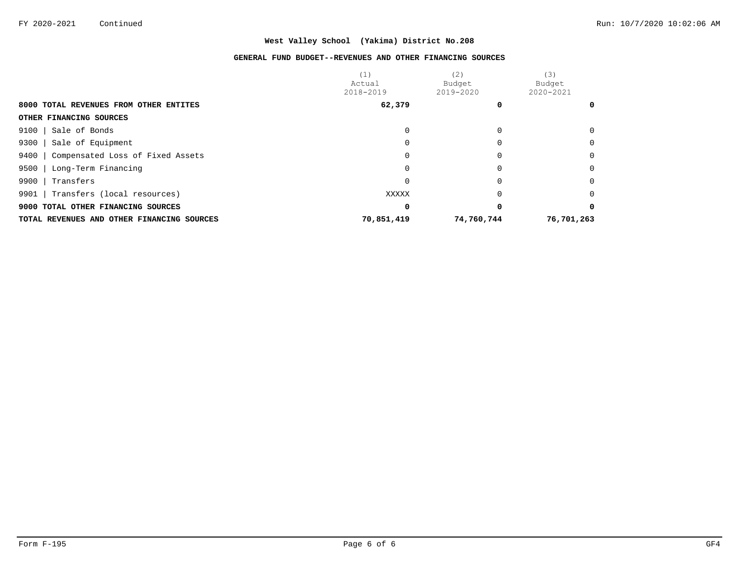|                                            | (1)        | (2)        | (3)        |
|--------------------------------------------|------------|------------|------------|
|                                            | Actual     | Budget     | Budget     |
|                                            | 2018-2019  | 2019-2020  | 2020-2021  |
| 8000 TOTAL REVENUES FROM OTHER ENTITES     | 62,379     |            |            |
| OTHER FINANCING SOURCES                    |            |            |            |
| Sale of Bonds<br>9100                      |            |            |            |
| 9300<br>Sale of Equipment                  |            |            |            |
| 9400<br>Compensated Loss of Fixed Assets   |            |            | $\Omega$   |
| Long-Term Financing<br>9500                |            |            | $\Omega$   |
| 9900<br>Transfers                          |            |            | $\Omega$   |
| 9901<br>Transfers (local resources)        | XXXXX      |            | $\Omega$   |
| 9000 TOTAL OTHER FINANCING SOURCES         | 0          |            |            |
| TOTAL REVENUES AND OTHER FINANCING SOURCES | 70,851,419 | 74,760,744 | 76,701,263 |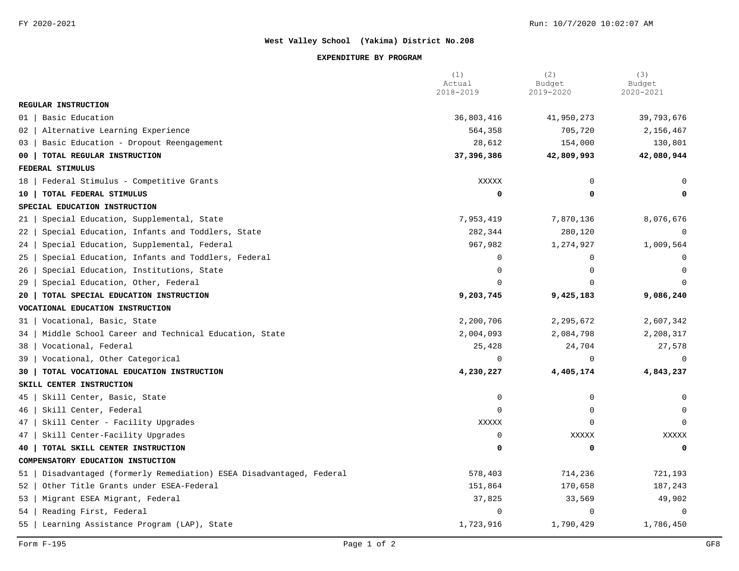#### **EXPENDITURE BY PROGRAM**

|                                                                        | (1)<br>Actual<br>2018-2019 | (2)<br>Budget<br>2019-2020 | (3)<br>Budget<br>2020-2021 |
|------------------------------------------------------------------------|----------------------------|----------------------------|----------------------------|
| REGULAR INSTRUCTION                                                    |                            |                            |                            |
| Basic Education<br>01                                                  | 36,803,416                 | 41,950,273                 | 39,793,676                 |
| Alternative Learning Experience<br>02                                  | 564,358                    | 705,720                    | 2,156,467                  |
| Basic Education - Dropout Reengagement<br>03                           | 28,612                     | 154,000                    | 130,801                    |
| TOTAL REGULAR INSTRUCTION<br>00                                        | 37,396,386                 | 42,809,993                 | 42,080,944                 |
| FEDERAL STIMULUS                                                       |                            |                            |                            |
| Federal Stimulus - Competitive Grants<br>18                            | XXXXX                      | $\mathbf 0$                | $\Omega$                   |
| TOTAL FEDERAL STIMULUS<br>10                                           | 0                          | 0                          | 0                          |
| SPECIAL EDUCATION INSTRUCTION                                          |                            |                            |                            |
| Special Education, Supplemental, State<br>21                           | 7,953,419                  | 7,870,136                  | 8,076,676                  |
| Special Education, Infants and Toddlers, State<br>22                   | 282,344                    | 280,120                    | 0                          |
| Special Education, Supplemental, Federal<br>24                         | 967,982                    | 1,274,927                  | 1,009,564                  |
| Special Education, Infants and Toddlers, Federal<br>25                 | 0                          | $\Omega$                   | 0                          |
| Special Education, Institutions, State<br>26                           | $\Omega$                   | $\Omega$                   | $\Omega$                   |
| Special Education, Other, Federal<br>29                                | $\Omega$                   | $\cap$                     | $\Omega$                   |
| TOTAL SPECIAL EDUCATION INSTRUCTION<br>20                              | 9,203,745                  | 9,425,183                  | 9,086,240                  |
| VOCATIONAL EDUCATION INSTRUCTION                                       |                            |                            |                            |
| Vocational, Basic, State<br>31                                         | 2,200,706                  | 2,295,672                  | 2,607,342                  |
| Middle School Career and Technical Education, State<br>34              | 2,004,093                  | 2,084,798                  | 2,208,317                  |
| 38<br>Vocational, Federal                                              | 25,428                     | 24,704                     | 27,578                     |
| 39<br>Vocational, Other Categorical                                    | $\mathbf 0$                | $\Omega$                   | $\Omega$                   |
| TOTAL VOCATIONAL EDUCATION INSTRUCTION<br>30                           | 4,230,227                  | 4,405,174                  | 4,843,237                  |
| SKILL CENTER INSTRUCTION                                               |                            |                            |                            |
| Skill Center, Basic, State<br>45                                       | 0                          | $\mathbf 0$                | $\mathbf 0$                |
| Skill Center, Federal<br>46                                            | $\Omega$                   | $\Omega$                   |                            |
| Skill Center - Facility Upgrades<br>47                                 | XXXXX                      | $\Omega$                   |                            |
| Skill Center-Facility Upgrades<br>47                                   | $\mathbf 0$                | XXXXX                      | XXXXX                      |
| TOTAL SKILL CENTER INSTRUCTION<br>40                                   | 0                          | 0                          | $\mathbf 0$                |
| COMPENSATORY EDUCATION INSTUCTION                                      |                            |                            |                            |
| Disadvantaged (formerly Remediation) ESEA Disadvantaged, Federal<br>51 | 578,403                    | 714,236                    | 721,193                    |
| Other Title Grants under ESEA-Federal<br>52                            | 151,864                    | 170,658                    | 187,243                    |
| Migrant ESEA Migrant, Federal<br>53                                    | 37,825                     | 33,569                     | 49,902                     |
| Reading First, Federal<br>54                                           | $\mathbf 0$                | $\Omega$                   | $\mathbf 0$                |
| 55<br>Learning Assistance Program (LAP), State                         | 1,723,916                  | 1,790,429                  | 1,786,450                  |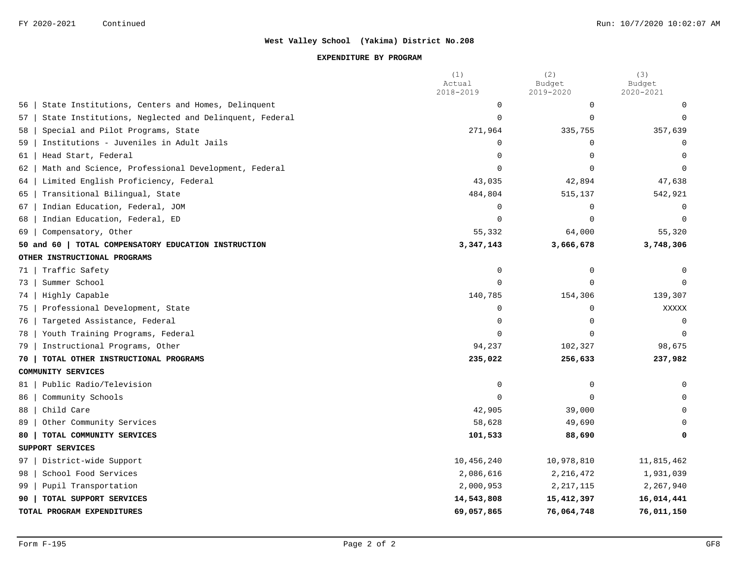### **EXPENDITURE BY PROGRAM**

|    |                                                       | (1)<br>Actual<br>2018-2019 | (2)<br>Budget<br>2019-2020 | (3)<br>Budget<br>2020-2021 |
|----|-------------------------------------------------------|----------------------------|----------------------------|----------------------------|
| 56 | State Institutions, Centers and Homes, Delinquent     | 0                          | 0                          | 0                          |
| 57 | State Institutions, Neglected and Delinquent, Federal | $\Omega$                   | $\Omega$                   | $\Omega$                   |
| 58 | Special and Pilot Programs, State                     | 271,964                    | 335,755                    | 357,639                    |
| 59 | Institutions - Juveniles in Adult Jails               | $\Omega$                   | $\Omega$                   | $\Omega$                   |
| 61 | Head Start, Federal                                   | $\Omega$                   | $\Omega$                   | $\Omega$                   |
| 62 | Math and Science, Professional Development, Federal   | $\Omega$                   | $\Omega$                   |                            |
| 64 | Limited English Proficiency, Federal                  | 43,035                     | 42,894                     | 47,638                     |
| 65 | Transitional Bilingual, State                         | 484,804                    | 515,137                    | 542,921                    |
| 67 | Indian Education, Federal, JOM                        | $\mathbf 0$                | $\mathbf 0$                | $\mathbf 0$                |
| 68 | Indian Education, Federal, ED                         | $\Omega$                   | $\Omega$                   | $\Omega$                   |
| 69 | Compensatory, Other                                   | 55,332                     | 64,000                     | 55,320                     |
|    | 50 and 60   TOTAL COMPENSATORY EDUCATION INSTRUCTION  | 3,347,143                  | 3,666,678                  | 3,748,306                  |
|    | OTHER INSTRUCTIONAL PROGRAMS                          |                            |                            |                            |
| 71 | Traffic Safety                                        | $\mathbf 0$                | 0                          | $\Omega$                   |
| 73 | Summer School                                         | $\Omega$                   | $\cap$                     |                            |
| 74 | Highly Capable                                        | 140,785                    | 154,306                    | 139,307                    |
| 75 | Professional Development, State                       | 0                          | $\Omega$                   | XXXXX                      |
| 76 | Targeted Assistance, Federal                          | $\mathbf 0$                | $\Omega$                   | $\mathbf 0$                |
| 78 | Youth Training Programs, Federal                      | $\mathbf 0$                | $\Omega$                   | $\mathbf 0$                |
| 79 | Instructional Programs, Other                         | 94,237                     | 102,327                    | 98,675                     |
| 70 | TOTAL OTHER INSTRUCTIONAL PROGRAMS                    | 235,022                    | 256,633                    | 237,982                    |
|    | COMMUNITY SERVICES                                    |                            |                            |                            |
| 81 | Public Radio/Television                               | 0                          | $\Omega$                   | $\Omega$                   |
| 86 | Community Schools                                     | $\Omega$                   | $\cap$                     |                            |
| 88 | Child Care                                            | 42,905                     | 39,000                     |                            |
| 89 | Other Community Services                              | 58,628                     | 49,690                     | $\Omega$                   |
| 80 | TOTAL COMMUNITY SERVICES                              | 101,533                    | 88,690                     | 0                          |
|    | SUPPORT SERVICES                                      |                            |                            |                            |
| 97 | District-wide Support                                 | 10,456,240                 | 10,978,810                 | 11,815,462                 |
| 98 | School Food Services                                  | 2,086,616                  | 2,216,472                  | 1,931,039                  |
| 99 | Pupil Transportation                                  | 2,000,953                  | 2, 217, 115                | 2,267,940                  |
| 90 | TOTAL SUPPORT SERVICES                                | 14,543,808                 | 15,412,397                 | 16,014,441                 |
|    | TOTAL PROGRAM EXPENDITURES                            | 69,057,865                 | 76,064,748                 | 76,011,150                 |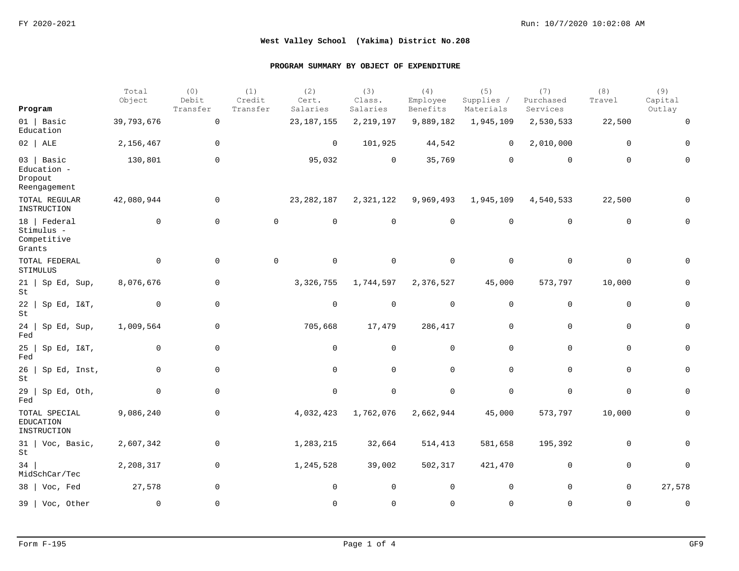| Program                                                | Total<br>Object | (0)<br>Debit<br>Transfer | (1)<br>Credit<br>Transfer | (2)<br>Cert.<br>Salaries | (3)<br>Class.<br>Salaries | (4)<br>Employee<br>Benefits | (5)<br>Supplies /<br>Materials | (7)<br>Purchased<br>Services | (8)<br>Travel | (9)<br>Capital<br>Outlay |
|--------------------------------------------------------|-----------------|--------------------------|---------------------------|--------------------------|---------------------------|-----------------------------|--------------------------------|------------------------------|---------------|--------------------------|
| $01$   Basic                                           | 39,793,676      | $\mathbf 0$              |                           | 23, 187, 155             | 2, 219, 197               | 9,889,182                   | 1,945,109                      | 2,530,533                    | 22,500        | $\mathbf 0$              |
| Education                                              |                 |                          |                           |                          |                           |                             |                                |                              |               |                          |
| $02$   ALE                                             | 2,156,467       | $\mathbf 0$              |                           | $\overline{0}$           | 101,925                   | 44,542                      | 0                              | 2,010,000                    | $\mathbf 0$   | 0                        |
| $03$   Basic<br>Education -<br>Dropout<br>Reengagement | 130,801         | $\mathbf 0$              |                           | 95,032                   | $\mathbf 0$               | 35,769                      | $\mathbf 0$                    | $\mathbf 0$                  | $\Omega$      | $\Omega$                 |
| TOTAL REGULAR<br>INSTRUCTION                           | 42,080,944      | 0                        |                           | 23, 282, 187             | 2,321,122                 | 9,969,493                   | 1,945,109                      | 4,540,533                    | 22,500        | 0                        |
| 18   Federal<br>Stimulus -<br>Competitive<br>Grants    | $\mathbf 0$     | $\mathbf 0$              | $\mathsf{O}$              | $\mathbf 0$              | $\overline{0}$            | $\overline{0}$              | $\mathbf 0$                    | $\mathbf 0$                  | 0             | $\Omega$                 |
| TOTAL FEDERAL<br>STIMULUS                              | $\mathbf 0$     | $\mathbf 0$              | $\mathbf 0$               | $\mathsf{O}$             | $\overline{0}$            | $\mathbf 0$                 | $\mathbf 0$                    | $\mathbf 0$                  | 0             | 0                        |
| $21$   Sp Ed, Sup,<br>St                               | 8,076,676       | $\mathbf 0$              |                           | 3,326,755                | 1,744,597                 | 2,376,527                   | 45,000                         | 573,797                      | 10,000        | 0                        |
| $22$   Sp Ed, I&T,<br>St                               | 0               | 0                        |                           | $\mathbf 0$              | $\mathbf 0$               | $\mathbf 0$                 | 0                              | $\mathbf 0$                  | 0             | 0                        |
| 24<br>Sp Ed, Sup,<br>Fed                               | 1,009,564       | $\mathbf 0$              |                           | 705,668                  | 17,479                    | 286,417                     | $\mathbf 0$                    | $\mathbf 0$                  | $\mathbf 0$   | $\mathsf{O}$             |
| 25<br>Sp Ed, I&T,<br>Fed                               | 0               | $\mathbf 0$              |                           | 0                        | $\mathbf 0$               | $\mathbf 0$                 | $\mathbf 0$                    | $\mathbf 0$                  | 0             | 0                        |
| 26<br>Sp Ed, Inst,<br>$\operatorname{\mathsf{St}}$     | $\mathbf 0$     | $\mathbf 0$              |                           | $\mathbf 0$              | $\mathbf 0$               | $\mathbf 0$                 | $\mathbf 0$                    | $\mathbf 0$                  | $\mathbf 0$   | 0                        |
| 29<br>Sp Ed, Oth,<br>Fed                               | $\mathbf 0$     | $\mathbf 0$              |                           | $\mathbf 0$              | $\mathbf 0$               | $\mathbf 0$                 | $\mathbf 0$                    | $\mathbf 0$                  | $\mathbf 0$   | 0                        |
| TOTAL SPECIAL<br>EDUCATION<br>INSTRUCTION              | 9,086,240       | 0                        |                           | 4,032,423                | 1,762,076                 | 2,662,944                   | 45,000                         | 573,797                      | 10,000        | 0                        |
| $31$   Voc, Basic,<br>St                               | 2,607,342       | $\mathbf 0$              |                           | 1,283,215                | 32,664                    | 514,413                     | 581,658                        | 195,392                      | 0             | 0                        |
| 34<br>MidSchCar/Tec                                    | 2,208,317       | $\mathsf{O}\xspace$      |                           | 1,245,528                | 39,002                    | 502, 317                    | 421,470                        | 0                            | $\mathbf 0$   | 0                        |
| 38   Voc, Fed                                          | 27,578          | $\mathbf 0$              |                           | $\mathsf{O}$             | $\mathbf 0$               | $\mathbf 0$                 | $\mathbf 0$                    | $\mathbf 0$                  | $\mathbf 0$   | 27,578                   |
| 39   Voc, Other                                        | $\Omega$        | $\mathbf 0$              |                           | $\Omega$                 | $\Omega$                  | $\Omega$                    | $\Omega$                       | $\Omega$                     | $\Omega$      | $\mathbf 0$              |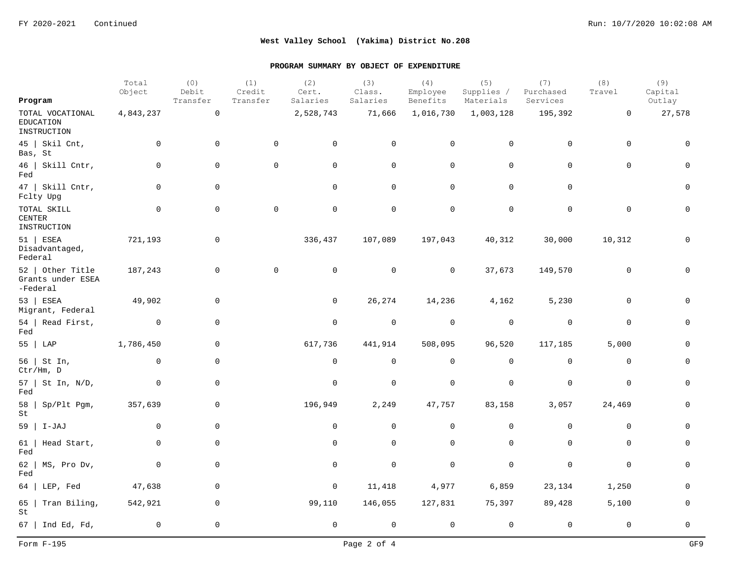|                                                     | Total<br>Object | (0)<br>Debit        | (1)<br>Credit       | (2)<br>Cert. | (3)<br>Class. | (4)<br>Employee | (5)<br>Supplies / | (7)<br>Purchased | (8)<br>Travel  | (9)<br>Capital |
|-----------------------------------------------------|-----------------|---------------------|---------------------|--------------|---------------|-----------------|-------------------|------------------|----------------|----------------|
| Program                                             |                 | Transfer            | Transfer            | Salaries     | Salaries      | Benefits        | Materials         | Services         |                | Outlay         |
| TOTAL VOCATIONAL<br><b>EDUCATION</b><br>INSTRUCTION | 4,843,237       | $\mathsf{O}\xspace$ |                     | 2,528,743    | 71,666        | 1,016,730       | 1,003,128         | 195,392          | $\overline{0}$ | 27,578         |
| $45$   Skil Cnt,<br>Bas, St                         | $\mathbf 0$     | $\mathsf{O}$        | $\mathsf{O}\xspace$ | $\mathsf{O}$ | $\mathbf 0$   | $\mathbf 0$     | $\mathbf 0$       | $\mathsf{O}$     | $\mathbf 0$    | $\mathbf 0$    |
| $46$   Skill Cntr,<br>Fed                           | 0               | $\mathbf 0$         | 0                   | $\mathsf{O}$ | 0             | $\mathsf{O}$    | 0                 | $\mathbf 0$      | $\Omega$       | 0              |
| 47   Skill Cntr,<br>Fclty Upg                       | 0               | 0                   |                     | 0            | 0             | 0               | 0                 | $\mathbf 0$      |                | $\mathbf 0$    |
| TOTAL SKILL<br>CENTER<br>INSTRUCTION                | 0               | 0                   | $\mathbf 0$         | 0            | $\mathbf 0$   | $\mathsf{O}$    | 0                 | 0                | $\mathbf 0$    | $\mathsf{O}$   |
| $51$ ESEA<br>Disadvantaged,<br>Federal              | 721,193         | $\mathbf 0$         |                     | 336,437      | 107,089       | 197,043         | 40,312            | 30,000           | 10,312         | $\mathbf 0$    |
| 52   Other Title<br>Grants under ESEA<br>-Federal   | 187,243         | 0                   | $\mathbf 0$         | $\mathbf 0$  | $\mathbf 0$   | $\mathbf 0$     | 37,673            | 149,570          | $\mathbf 0$    | $\mathbf 0$    |
| 53   ESEA<br>Migrant, Federal                       | 49,902          | $\mathsf{O}$        |                     | $\mathbf 0$  | 26,274        | 14,236          | 4,162             | 5,230            | $\Omega$       | $\Omega$       |
| 54   Read First,<br>Fed                             | $\overline{0}$  | $\mathsf{O}$        |                     | $\mathsf{O}$ | $\mathsf{O}$  | $\mathbf 0$     | $\mathbf 0$       | $\mathbf 0$      | $\mathbf 0$    | 0              |
| $55$ $\sqrt{LAP}$                                   | 1,786,450       | 0                   |                     | 617,736      | 441,914       | 508,095         | 96,520            | 117,185          | 5,000          | $\mathbf 0$    |
| 56   St In,<br>Ctr/Hm, D                            | $\mathbf 0$     | 0                   |                     | 0            | $\mathbf 0$   | 0               | $\mathbf 0$       | $\mathsf{O}$     | $\mathbf 0$    | $\mathbf 0$    |
| $57$   St In, N/D,<br>Fed                           | $\mathbf 0$     | $\mathsf{O}$        |                     | $\mathsf{O}$ | $\mathbf 0$   | 0               | $\mathsf{O}$      | $\mathsf 0$      | $\mathbf 0$    | $\mathbf 0$    |
| 58<br>Sp/Plt Pgm,<br>St                             | 357,639         | $\mathsf{O}$        |                     | 196,949      | 2,249         | 47,757          | 83,158            | 3,057            | 24,469         | $\mathsf{O}$   |
| $59$   I-JAJ                                        | 0               | 0                   |                     | 0            | 0             | 0               | 0                 | 0                | 0              | $\mathbf 0$    |
| 61<br>Head Start,<br>Fed                            | 0               | $\mathsf{O}$        |                     | $\mathsf{O}$ | $\mathsf{O}$  | $\mathbf 0$     | 0                 | $\mathsf{O}$     | $\mathbf 0$    | $\mathsf 0$    |
| 62  <br>MS, Pro Dv,<br>Fed                          | 0               | $\mathsf{O}$        |                     | 0            | $\mathsf{O}$  | 0               | $\mathbf 0$       | $\mathbf 0$      | $\mathbf 0$    | $\mathsf{O}$   |
| $64$   LEP, Fed                                     | 47,638          | 0                   |                     | 0            | 11,418        | 4,977           | 6,859             | 23,134           | 1,250          | $\mathbf 0$    |
| Tran Biling,<br>65  <br>St                          | 542,921         | 0                   |                     | 99,110       | 146,055       | 127,831         | 75,397            | 89,428           | 5,100          | $\mathbf 0$    |
| 67   Ind Ed, Fd,                                    | $\mathbf 0$     | 0                   |                     | 0            | $\mathbf 0$   | $\mathbf 0$     | $\mathbf 0$       | $\mathbf 0$      | $\mathbf 0$    | $\mathsf 0$    |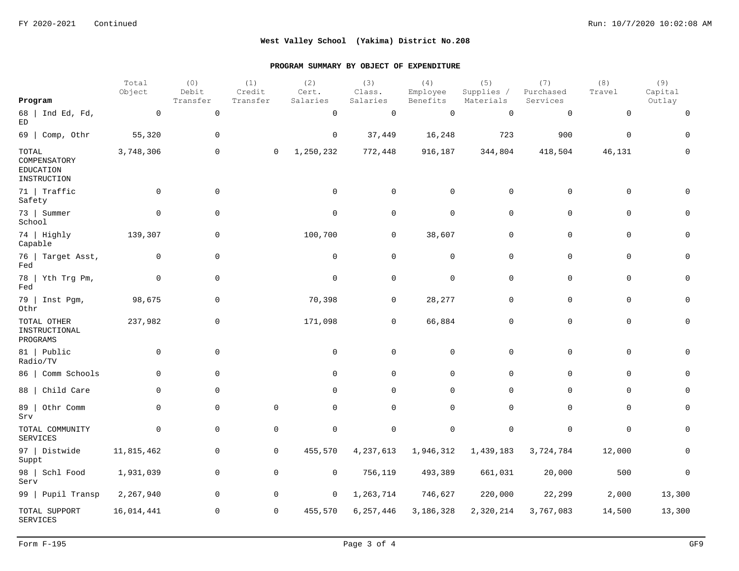|                                                   | Total<br>Object | (0)<br>Debit        | (1)<br>Credit  | (2)<br>Cert.        | (3)<br>Class. | (4)<br>Employee | (5)<br>Supplies / | (7)<br>Purchased | (8)<br>Travel | (9)<br>Capital |
|---------------------------------------------------|-----------------|---------------------|----------------|---------------------|---------------|-----------------|-------------------|------------------|---------------|----------------|
| Program                                           |                 | Transfer            | Transfer       | Salaries            | Salaries      | Benefits        | Materials         | Services         |               | Outlay         |
| 68   Ind Ed, Fd,<br>ED                            | $\overline{0}$  | $\mathsf 0$         |                | $\mathsf{O}$        | $\mathbf 0$   | $\mathbf 0$     | $\mathbf 0$       | $\mathbf 0$      | $\mathbf 0$   | 0              |
| $69$   Comp, Othr                                 | 55,320          | $\mathbf 0$         |                | $\overline{0}$      | 37,449        | 16,248          | 723               | 900              | $\mathbf 0$   | $\Omega$       |
| TOTAL<br>COMPENSATORY<br>EDUCATION<br>INSTRUCTION | 3,748,306       | $\mathbf 0$         | $\overline{0}$ | 1,250,232           | 772,448       | 916,187         | 344,804           | 418,504          | 46,131        | U              |
| 71   Traffic<br>Safety                            | $\mathbf 0$     | $\mathbf 0$         |                | $\mathsf{O}$        | $\mathbf 0$   | $\mathbf 0$     | $\mathbf 0$       | $\mathbf 0$      | $\mathbf 0$   | $\Omega$       |
| 73   Summer<br>School                             | $\overline{0}$  | $\mathbf 0$         |                | $\mathbf 0$         | 0             | $\mathbf 0$     | 0                 | $\mathbf 0$      | 0             | 0              |
| 74   Highly<br>Capable                            | 139,307         | $\mathbf 0$         |                | 100,700             | $\mathbf 0$   | 38,607          | $\mathbf 0$       | $\mathbf 0$      | $\mathbf 0$   | 0              |
| 76   Target Asst,<br>Fed                          | $\mathbf 0$     | $\mathsf{O}\xspace$ |                | $\mathsf{O}$        | $\mathbf 0$   | $\mathbf 0$     | 0                 | 0                | 0             | 0              |
| 78   Yth Trg Pm,<br>Fed                           | $\overline{0}$  | $\mathsf{O}\xspace$ |                | $\mathsf{O}\xspace$ | $\mathbf 0$   | $\mathbf 0$     | $\mathbf 0$       | 0                | $\mathbf 0$   | $\Omega$       |
| 79   Inst Pgm,<br>Othr                            | 98,675          | $\mathbf 0$         |                | 70,398              | $\mathbf 0$   | 28, 277         | $\mathbf 0$       | 0                | $\mathbf 0$   | $\Omega$       |
| TOTAL OTHER<br>INSTRUCTIONAL<br>PROGRAMS          | 237,982         | $\mathbf 0$         |                | 171,098             | $\mathbf 0$   | 66,884          | $\mathbf 0$       | $\mathbf 0$      | $\mathbf 0$   | 0              |
| 81   Public<br>Radio/TV                           | $\mathbf 0$     | $\mathbf 0$         |                | $\mathsf{O}$        | $\mathbf 0$   | $\mathsf{O}$    | $\mathbf 0$       | $\mathbf 0$      | $\mathbf 0$   | $\Omega$       |
| 86   Comm Schools                                 | $\mathbf 0$     | $\mathbf 0$         |                | $\mathbf 0$         | $\mathbf 0$   | $\mathbf 0$     | 0                 | 0                | 0             | 0              |
| 88   Child Care                                   | $\mathbf 0$     | $\mathbf 0$         |                | $\mathbf 0$         | 0             | $\mathbf 0$     | 0                 | $\mathbf 0$      | 0             | 0              |
| 89   Othr Comm<br>Srv                             | $\mathbf 0$     | $\mathbf 0$         | $\mathbf 0$    | $\mathbf 0$         | $\mathbf 0$   | $\mathsf{O}$    | $\mathbf 0$       | $\mathbf 0$      | $\mathbf 0$   | $\mathbf 0$    |
| TOTAL COMMUNITY<br><b>SERVICES</b>                | $\mathbf 0$     | $\mathbf 0$         | $\mathbf 0$    | $\mathbf 0$         | $\mathbf 0$   | $\mathbf 0$     | $\mathbf 0$       | $\mathbf 0$      | $\mathbf 0$   | $\Omega$       |
| 97   Distwide<br>Suppt                            | 11,815,462      | $\mathbf 0$         | 0              | 455,570             | 4, 237, 613   | 1,946,312       | 1,439,183         | 3,724,784        | 12,000        | 0              |
| 98   Schl Food<br>Serv                            | 1,931,039       | $\mathbf 0$         | 0              | $\mathsf{O}$        | 756,119       | 493,389         | 661,031           | 20,000           | 500           | 0              |
| 99   Pupil Transp                                 | 2,267,940       | $\mathbf 0$         | $\mathbf 0$    | $\mathbf 0$         | 1,263,714     | 746,627         | 220,000           | 22,299           | 2,000         | 13,300         |
| TOTAL SUPPORT<br><b>SERVICES</b>                  | 16,014,441      | $\mathbf 0$         | 0              | 455,570             | 6, 257, 446   | 3,186,328       | 2,320,214         | 3,767,083        | 14,500        | 13,300         |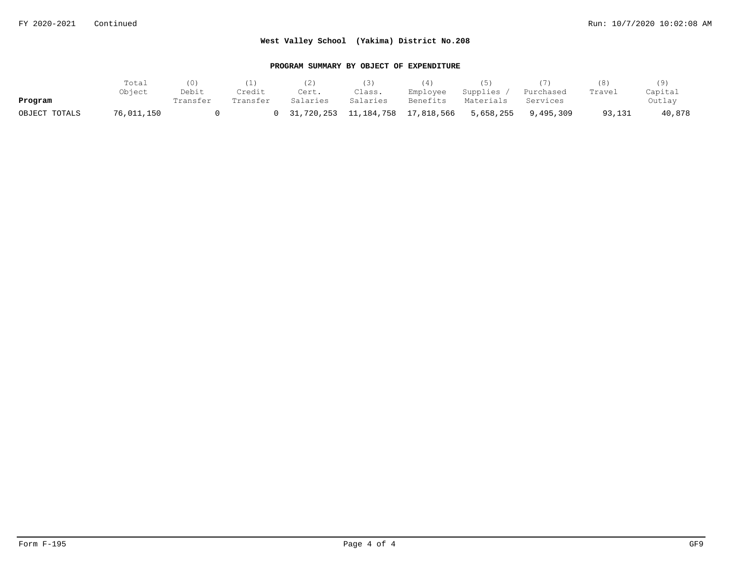|               | Total      | (0)      |          |                                    |          |          |                     |           |        |         |
|---------------|------------|----------|----------|------------------------------------|----------|----------|---------------------|-----------|--------|---------|
|               | Object     | Debit    | Credit   | Cert.                              | Class.   | Employee | Supplies,           | Purchased | Travel | Capital |
| Program       |            | Transfer | Transfer | Salaries                           | Salaries | Benefits | Materials           | Services  |        | Outlay  |
| OBJECT TOTALS | 76,011,150 |          |          | 0 31,720,253 11,184,758 17,818,566 |          |          | 5,658,255 9,495,309 |           | 93,131 | 40,878  |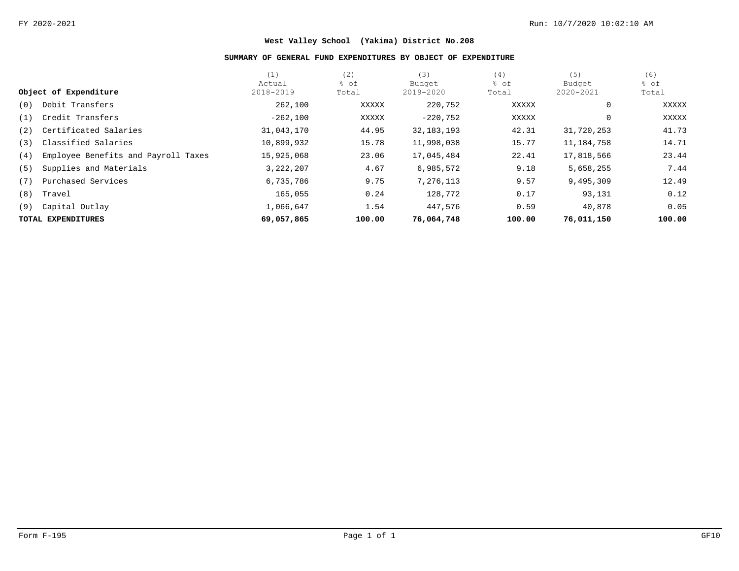### **SUMMARY OF GENERAL FUND EXPENDITURES BY OBJECT OF EXPENDITURE**

|     |                                     | (1)         | (2)    | (3)          | (4)    | (5)          | (6)    |
|-----|-------------------------------------|-------------|--------|--------------|--------|--------------|--------|
|     |                                     | Actual      | % of   | Budget       | % of   | Budget       | % of   |
|     | Object of Expenditure               | 2018-2019   | Total  | 2019-2020    | Total  | 2020-2021    | Total  |
| (0) | Debit Transfers                     | 262,100     | XXXXX  | 220,752      | XXXXX  | $\mathbf{0}$ | XXXXX  |
| (1) | Credit Transfers                    | $-262,100$  | XXXXX  | $-220,752$   | XXXXX  | $\mathbf{0}$ | XXXXX  |
| (2) | Certificated Salaries               | 31,043,170  | 44.95  | 32, 183, 193 | 42.31  | 31,720,253   | 41.73  |
| (3) | Classified Salaries                 | 10,899,932  | 15.78  | 11,998,038   | 15.77  | 11,184,758   | 14.71  |
| (4) | Employee Benefits and Payroll Taxes | 15,925,068  | 23.06  | 17,045,484   | 22.41  | 17,818,566   | 23.44  |
| (5) | Supplies and Materials              | 3, 222, 207 | 4.67   | 6,985,572    | 9.18   | 5,658,255    | 7.44   |
| (7) | Purchased Services                  | 6,735,786   | 9.75   | 7,276,113    | 9.57   | 9,495,309    | 12.49  |
| (8) | Travel                              | 165,055     | 0.24   | 128,772      | 0.17   | 93,131       | 0.12   |
| (9) | Capital Outlay                      | 1,066,647   | 1.54   | 447,576      | 0.59   | 40,878       | 0.05   |
|     | TOTAL EXPENDITURES                  | 69,057,865  | 100.00 | 76,064,748   | 100.00 | 76,011,150   | 100.00 |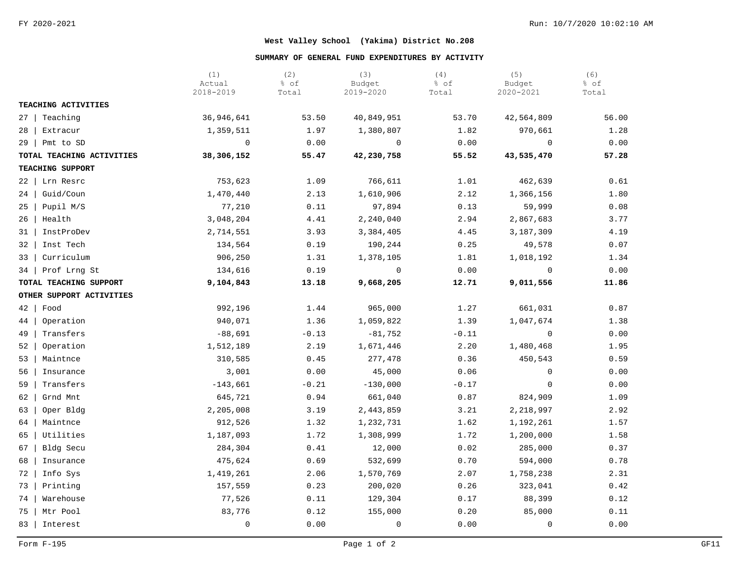### **SUMMARY OF GENERAL FUND EXPENDITURES BY ACTIVITY**

|                           | (1)<br>Actual<br>2018-2019 | (2)<br>% of<br>Total | (3)<br>Budget<br>2019-2020 | (4)<br>% of<br>Total | (5)<br>Budget<br>2020-2021 | (6)<br>% of<br>Total |
|---------------------------|----------------------------|----------------------|----------------------------|----------------------|----------------------------|----------------------|
| TEACHING ACTIVITIES       |                            |                      |                            |                      |                            |                      |
| $27$   Teaching           | 36,946,641                 | 53.50                | 40,849,951                 | 53.70                | 42,564,809                 | 56.00                |
| 28   Extracur             | 1,359,511                  | 1.97                 | 1,380,807                  | 1.82                 | 970,661                    | 1.28                 |
| $29$   Pmt to SD          | $\mathbf 0$                | 0.00                 | $\overline{0}$             | 0.00                 | $\overline{0}$             | 0.00                 |
| TOTAL TEACHING ACTIVITIES | 38,306,152                 | 55.47                | 42,230,758                 | 55.52                | 43,535,470                 | 57.28                |
| TEACHING SUPPORT          |                            |                      |                            |                      |                            |                      |
| $22 \mid$<br>Lrn Resrc    | 753,623                    | 1.09                 | 766,611                    | 1.01                 | 462,639                    | 0.61                 |
| Guid/Coun<br>$24$         | 1,470,440                  | 2.13                 | 1,610,906                  | 2.12                 | 1,366,156                  | 1.80                 |
| $25$   Pupil M/S          | 77,210                     | 0.11                 | 97,894                     | 0.13                 | 59,999                     | 0.08                 |
| 26<br>Health              | 3,048,204                  | 4.41                 | 2,240,040                  | 2.94                 | 2,867,683                  | 3.77                 |
| InstProDev<br>31          | 2,714,551                  | 3.93                 | 3,384,405                  | 4.45                 | 3,187,309                  | 4.19                 |
| Inst Tech<br>32           | 134,564                    | 0.19                 | 190,244                    | 0.25                 | 49,578                     | 0.07                 |
| 33   Curriculum           | 906,250                    | 1.31                 | 1,378,105                  | 1.81                 | 1,018,192                  | 1.34                 |
| Prof Lrng St<br>34        | 134,616                    | 0.19                 | $\mathbf 0$                | 0.00                 | $\overline{0}$             | 0.00                 |
| TOTAL TEACHING SUPPORT    | 9,104,843                  | 13.18                | 9,668,205                  | 12.71                | 9,011,556                  | 11.86                |
| OTHER SUPPORT ACTIVITIES  |                            |                      |                            |                      |                            |                      |
| $42$ Food                 | 992,196                    | 1.44                 | 965,000                    | 1.27                 | 661,031                    | 0.87                 |
| 44  <br>Operation         | 940,071                    | 1.36                 | 1,059,822                  | 1.39                 | 1,047,674                  | 1.38                 |
| 49  <br>Transfers         | $-88,691$                  | $-0.13$              | $-81,752$                  | $-0.11$              | $\overline{0}$             | 0.00                 |
| Operation<br>$52 \mid$    | 1,512,189                  | 2.19                 | 1,671,446                  | 2.20                 | 1,480,468                  | 1.95                 |
| 53<br>Maintnce            | 310,585                    | 0.45                 | 277,478                    | 0.36                 | 450,543                    | 0.59                 |
| Insurance<br>56           | 3,001                      | 0.00                 | 45,000                     | 0.06                 | $\mathbf{0}$               | 0.00                 |
| Transfers<br>59           | $-143,661$                 | $-0.21$              | $-130,000$                 | $-0.17$              | $\Omega$                   | 0.00                 |
| Grnd Mnt<br>62            | 645,721                    | 0.94                 | 661,040                    | 0.87                 | 824,909                    | 1.09                 |
| 63<br>Oper Bldg           | 2,205,008                  | 3.19                 | 2,443,859                  | 3.21                 | 2,218,997                  | 2.92                 |
| 64<br>Maintnce            | 912,526                    | 1.32                 | 1,232,731                  | 1.62                 | 1,192,261                  | 1.57                 |
| Utilities<br>65           | 1,187,093                  | 1.72                 | 1,308,999                  | 1.72                 | 1,200,000                  | 1.58                 |
| Bldg Secu<br>67           | 284,304                    | 0.41                 | 12,000                     | 0.02                 | 285,000                    | 0.37                 |
| 68<br>Insurance           | 475,624                    | 0.69                 | 532,699                    | 0.70                 | 594,000                    | 0.78                 |
| 72<br>Info Sys            | 1,419,261                  | 2.06                 | 1,570,769                  | 2.07                 | 1,758,238                  | 2.31                 |
| Printing<br>73            | 157,559                    | 0.23                 | 200,020                    | 0.26                 | 323,041                    | 0.42                 |
| 74<br>Warehouse           | 77,526                     | 0.11                 | 129,304                    | 0.17                 | 88,399                     | 0.12                 |
| Mtr Pool<br>75            | 83,776                     | 0.12                 | 155,000                    | 0.20                 | 85,000                     | 0.11                 |
| 83<br>Interest            | $\mathbf 0$                | 0.00                 | $\mathbf 0$                | 0.00                 | $\Omega$                   | 0.00                 |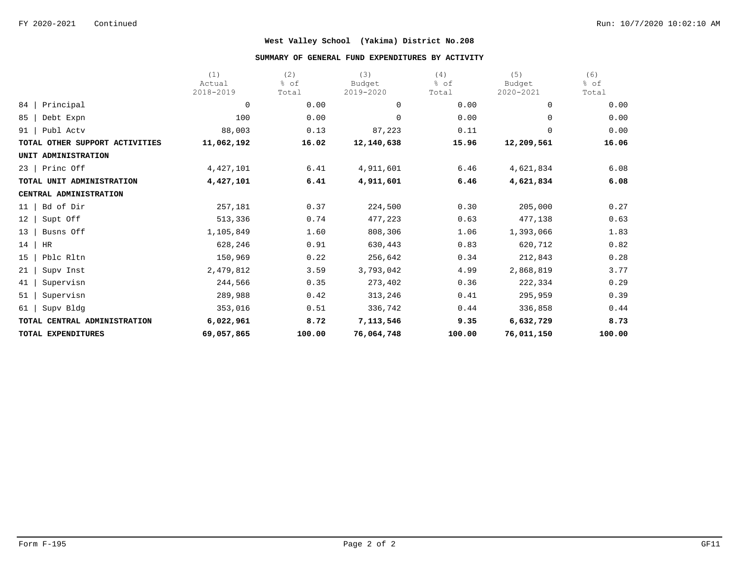#### **SUMMARY OF GENERAL FUND EXPENDITURES BY ACTIVITY**

|                                | (1)         | (2)    | (3)        | (4)    | (5)         | (6)    |
|--------------------------------|-------------|--------|------------|--------|-------------|--------|
|                                | Actual      | % of   | Budget     | % of   | Budget      | % of   |
|                                | 2018-2019   | Total  | 2019-2020  | Total  | 2020-2021   | Total  |
| Principal<br>84                | 0           | 0.00   | 0          | 0.00   | $\Omega$    | 0.00   |
| 85<br>Debt Expn                | 100         | 0.00   | 0          | 0.00   | $\Omega$    | 0.00   |
| Publ Actv<br>91                | 88,003      | 0.13   | 87,223     | 0.11   | $\mathbf 0$ | 0.00   |
| TOTAL OTHER SUPPORT ACTIVITIES | 11,062,192  | 16.02  | 12,140,638 | 15.96  | 12,209,561  | 16.06  |
| UNIT ADMINISTRATION            |             |        |            |        |             |        |
| Princ Off<br>23                | 4, 427, 101 | 6.41   | 4,911,601  | 6.46   | 4,621,834   | 6.08   |
| TOTAL UNIT ADMINISTRATION      | 4,427,101   | 6.41   | 4,911,601  | 6.46   | 4,621,834   | 6.08   |
| CENTRAL ADMINISTRATION         |             |        |            |        |             |        |
| Bd of Dir<br>11                | 257,181     | 0.37   | 224,500    | 0.30   | 205,000     | 0.27   |
| 12<br>Supt Off                 | 513,336     | 0.74   | 477,223    | 0.63   | 477,138     | 0.63   |
| 13<br>Busns Off                | 1,105,849   | 1.60   | 808,306    | 1.06   | 1,393,066   | 1.83   |
| 14<br>HR                       | 628,246     | 0.91   | 630,443    | 0.83   | 620,712     | 0.82   |
| Pblc Rltn<br>15                | 150,969     | 0.22   | 256,642    | 0.34   | 212,843     | 0.28   |
| 21<br>Supv Inst                | 2,479,812   | 3.59   | 3,793,042  | 4.99   | 2,868,819   | 3.77   |
| Supervisn<br>41                | 244,566     | 0.35   | 273,402    | 0.36   | 222,334     | 0.29   |
| 51<br>Supervisn                | 289,988     | 0.42   | 313,246    | 0.41   | 295,959     | 0.39   |
| Supv Bldg<br>61                | 353,016     | 0.51   | 336,742    | 0.44   | 336,858     | 0.44   |
| TOTAL CENTRAL ADMINISTRATION   | 6,022,961   | 8.72   | 7,113,546  | 9.35   | 6,632,729   | 8.73   |
| TOTAL EXPENDITURES             | 69,057,865  | 100.00 | 76,064,748 | 100.00 | 76,011,150  | 100.00 |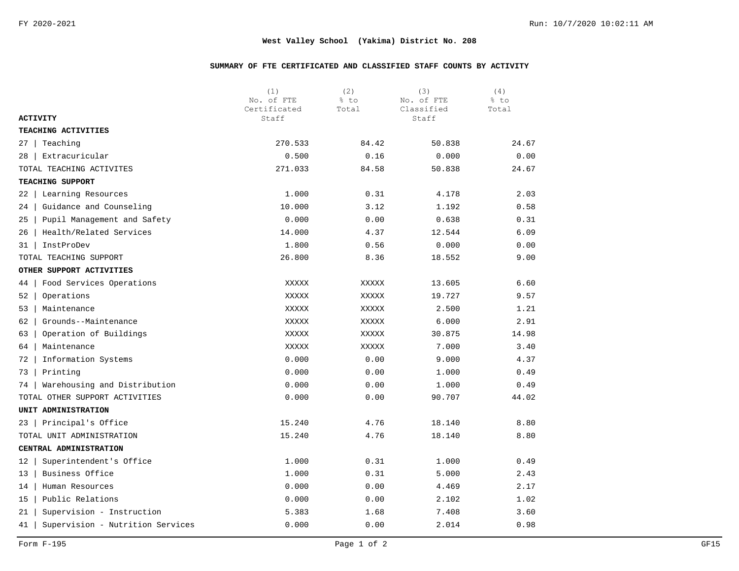### **SUMMARY OF FTE CERTIFICATED AND CLASSIFIED STAFF COUNTS BY ACTIVITY**

|                                        | (1)<br>No. of FTE<br>Certificated | (2)<br>% to<br>Total | (3)<br>No. of FTE<br>Classified | (4)<br>% to<br>Total |
|----------------------------------------|-----------------------------------|----------------------|---------------------------------|----------------------|
| <b>ACTIVITY</b>                        | Staff                             |                      | Staff                           |                      |
| TEACHING ACTIVITIES                    |                                   |                      |                                 |                      |
| Teaching<br>27                         | 270.533                           | 84.42                | 50.838                          | 24.67                |
| Extracuricular<br>28                   | 0.500                             | 0.16                 | 0.000                           | 0.00                 |
| TOTAL TEACHING ACTIVITES               | 271.033                           | 84.58                | 50.838                          | 24.67                |
| TEACHING SUPPORT                       |                                   |                      |                                 |                      |
| Learning Resources<br>22               | 1.000                             | 0.31                 | 4.178                           | 2.03                 |
| Guidance and Counseling<br>24          | 10.000                            | 3.12                 | 1.192                           | 0.58                 |
| Pupil Management and Safety<br>25      | 0.000                             | 0.00                 | 0.638                           | 0.31                 |
| Health/Related Services<br>26          | 14.000                            | 4.37                 | 12.544                          | 6.09                 |
| InstProDev<br>31                       | 1.800                             | 0.56                 | 0.000                           | 0.00                 |
| TOTAL TEACHING SUPPORT                 | 26.800                            | 8.36                 | 18.552                          | 9.00                 |
| OTHER SUPPORT ACTIVITIES               |                                   |                      |                                 |                      |
| 44<br>Food Services Operations         | XXXXX                             | XXXXX                | 13.605                          | 6.60                 |
| Operations<br>52                       | XXXXX                             | XXXXX                | 19.727                          | 9.57                 |
| 53<br>Maintenance                      | XXXXX                             | XXXXX                | 2.500                           | 1.21                 |
| Grounds--Maintenance<br>62             | XXXXX                             | XXXXX                | 6.000                           | 2.91                 |
| Operation of Buildings<br>63           | XXXXX                             | XXXXX                | 30.875                          | 14.98                |
| 64<br>Maintenance                      | XXXXX                             | XXXXX                | 7.000                           | 3.40                 |
| Information Systems<br>72              | 0.000                             | 0.00                 | 9.000                           | 4.37                 |
| Printing<br>73                         | 0.000                             | 0.00                 | 1.000                           | 0.49                 |
| Warehousing and Distribution<br>74     | 0.000                             | 0.00                 | 1.000                           | 0.49                 |
| TOTAL OTHER SUPPORT ACTIVITIES         | 0.000                             | 0.00                 | 90.707                          | 44.02                |
| UNIT ADMINISTRATION                    |                                   |                      |                                 |                      |
| Principal's Office<br>23               | 15.240                            | 4.76                 | 18.140                          | 8.80                 |
| TOTAL UNIT ADMINISTRATION              | 15.240                            | 4.76                 | 18.140                          | 8.80                 |
| CENTRAL ADMINISTRATION                 |                                   |                      |                                 |                      |
| Superintendent's Office<br>12          | 1.000                             | 0.31                 | 1.000                           | 0.49                 |
| Business Office<br>13                  | 1.000                             | 0.31                 | 5.000                           | 2.43                 |
| 14<br>Human Resources                  | 0.000                             | 0.00                 | 4.469                           | 2.17                 |
| Public Relations<br>15                 | 0.000                             | 0.00                 | 2.102                           | 1.02                 |
| Supervision - Instruction<br>21        | 5.383                             | 1.68                 | 7.408                           | 3.60                 |
| Supervision - Nutrition Services<br>41 | 0.000                             | 0.00                 | 2.014                           | 0.98                 |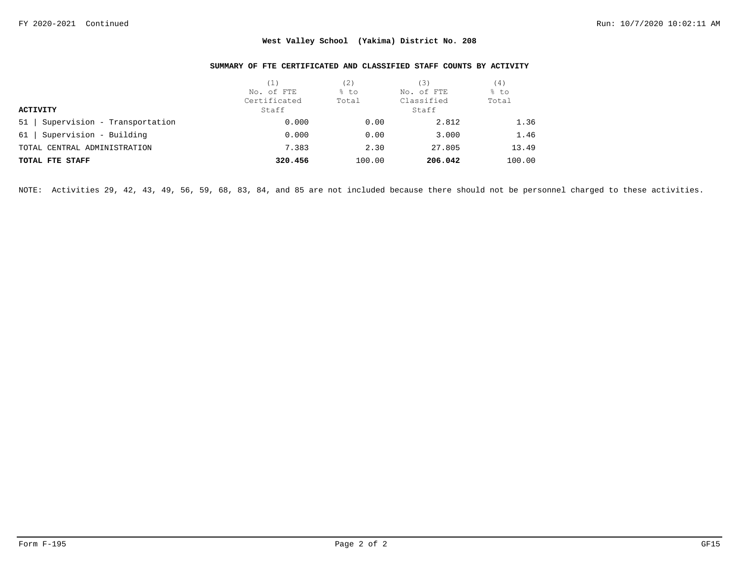### **SUMMARY OF FTE CERTIFICATED AND CLASSIFIED STAFF COUNTS BY ACTIVITY**

|                                    | (1)          | (2)    | '3)        | (4)    |  |
|------------------------------------|--------------|--------|------------|--------|--|
|                                    | No. of FTE   | % to   | No. of FTE | % to   |  |
|                                    | Certificated | Total  | Classified | Total  |  |
| <b>ACTIVITY</b>                    | Staff        |        | Staff      |        |  |
| Supervision - Transportation<br>51 | 0.000        | 0.00   | 2.812      | 1.36   |  |
| Supervision - Building<br>61       | 0.000        | 0.00   | 3.000      | 1.46   |  |
| TOTAL CENTRAL ADMINISTRATION       | 7.383        | 2.30   | 27.805     | 13.49  |  |
| TOTAL FTE STAFF                    | 320.456      | 100.00 | 206.042    | 100.00 |  |

NOTE: Activities 29, 42, 43, 49, 56, 59, 68, 83, 84, and 85 are not included because there should not be personnel charged to these activities.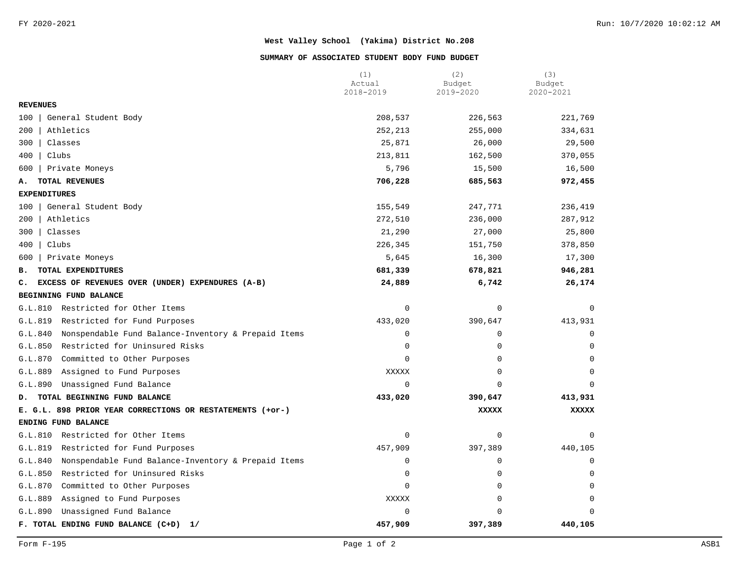#### **SUMMARY OF ASSOCIATED STUDENT BODY FUND BUDGET**

|                                                                | (1)<br>Actual | (2)<br>Budget | (3)<br>Budget |
|----------------------------------------------------------------|---------------|---------------|---------------|
|                                                                | 2018-2019     | 2019-2020     | 2020-2021     |
| <b>REVENUES</b>                                                |               |               |               |
| 100<br>General Student Body                                    | 208,537       | 226,563       | 221,769       |
| 200<br>Athletics                                               | 252,213       | 255,000       | 334,631       |
| 300<br>Classes                                                 | 25,871        | 26,000        | 29,500        |
| 400<br>Clubs                                                   | 213,811       | 162,500       | 370,055       |
| 600<br>Private Moneys                                          | 5,796         | 15,500        | 16,500        |
| TOTAL REVENUES<br>А.                                           | 706,228       | 685,563       | 972,455       |
| <b>EXPENDITURES</b>                                            |               |               |               |
| General Student Body<br>100                                    | 155,549       | 247,771       | 236,419       |
| Athletics<br>200                                               | 272,510       | 236,000       | 287,912       |
| 300<br>Classes                                                 | 21,290        | 27,000        | 25,800        |
| 400<br>Clubs                                                   | 226,345       | 151,750       | 378,850       |
| Private Moneys<br>600                                          | 5,645         | 16,300        | 17,300        |
| TOTAL EXPENDITURES<br>в.                                       | 681,339       | 678,821       | 946,281       |
| EXCESS OF REVENUES OVER (UNDER) EXPENDURES (A-B)<br>c.         | 24,889        | 6,742         | 26,174        |
| BEGINNING FUND BALANCE                                         |               |               |               |
| G.L.810<br>Restricted for Other Items                          | $\mathbf 0$   | $\mathbf 0$   | $\mathbf 0$   |
| G.L.819<br>Restricted for Fund Purposes                        | 433,020       | 390,647       | 413,931       |
| Nonspendable Fund Balance-Inventory & Prepaid Items<br>G.L.840 | $\mathbf 0$   | $\mathbf 0$   | $\Omega$      |
| G.L.850<br>Restricted for Uninsured Risks                      | 0             | $\Omega$      |               |
| G.L.870<br>Committed to Other Purposes                         | $\Omega$      | $\mathbf 0$   |               |
| G.L.889<br>Assigned to Fund Purposes                           | XXXXX         | $\mathbf 0$   | $\Omega$      |
| Unassigned Fund Balance<br>G.L.890                             | $\Omega$      | $\Omega$      | $\Omega$      |
| TOTAL BEGINNING FUND BALANCE<br>D.                             | 433,020       | 390,647       | 413,931       |
| E. G.L. 898 PRIOR YEAR CORRECTIONS OR RESTATEMENTS (+or-)      |               | <b>XXXXX</b>  | <b>XXXXX</b>  |
| ENDING FUND BALANCE                                            |               |               |               |
| Restricted for Other Items<br>G.L.810                          | $\mathsf 0$   | 0             | $\Omega$      |
| G.L.819<br>Restricted for Fund Purposes                        | 457,909       | 397,389       | 440,105       |
| G.L.840<br>Nonspendable Fund Balance-Inventory & Prepaid Items | 0             | $\mathbf 0$   | 0             |
| G.L.850<br>Restricted for Uninsured Risks                      | $\mathbf 0$   | 0             | $\Omega$      |
| G.L.870<br>Committed to Other Purposes                         | 0             | 0             | $\Omega$      |
| G.L.889<br>Assigned to Fund Purposes                           | XXXXX         | $\mathbf 0$   | $\Omega$      |
| G.L.890<br>Unassigned Fund Balance                             | 0             | $\Omega$      | $\Omega$      |
| F. TOTAL ENDING FUND BALANCE (C+D)<br>1/                       | 457,909       | 397,389       | 440,105       |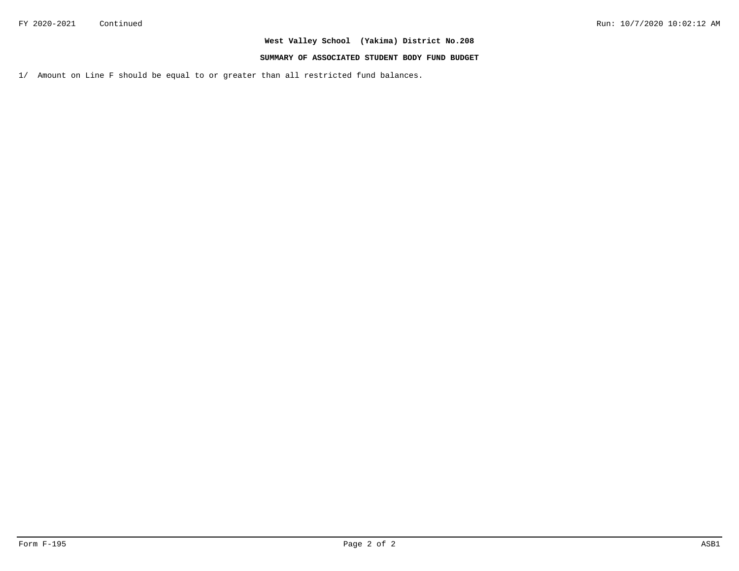### **SUMMARY OF ASSOCIATED STUDENT BODY FUND BUDGET**

1/ Amount on Line F should be equal to or greater than all restricted fund balances.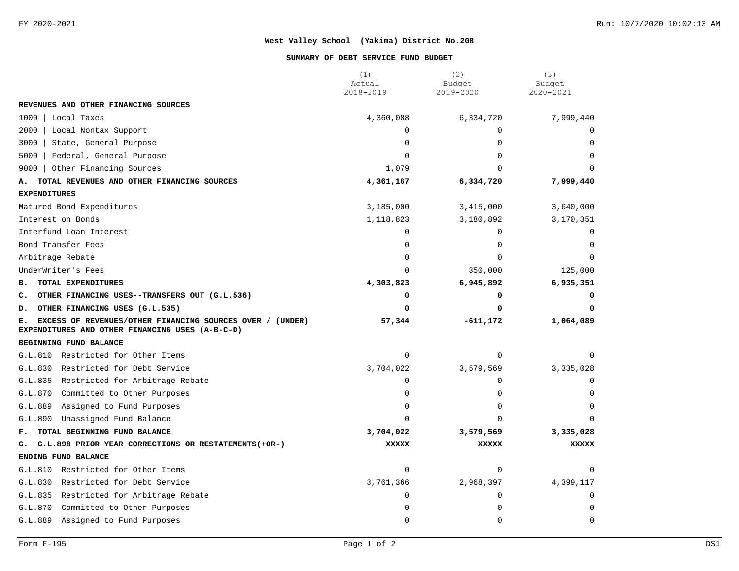#### **SUMMARY OF DEBT SERVICE FUND BUDGET**

|                                                                                                                    | (1)<br>Actual | (2)<br>Budget | (3)<br>Budget |
|--------------------------------------------------------------------------------------------------------------------|---------------|---------------|---------------|
|                                                                                                                    | 2018-2019     | 2019-2020     | 2020-2021     |
| REVENUES AND OTHER FINANCING SOURCES                                                                               |               |               |               |
| 1000<br>Local Taxes                                                                                                | 4,360,088     | 6,334,720     | 7,999,440     |
| 2000<br>Local Nontax Support                                                                                       | $\Omega$      | $\Omega$      |               |
| 3000<br>State, General Purpose                                                                                     | $\Omega$      | $\Omega$      |               |
| 5000<br>Federal, General Purpose                                                                                   | $\Omega$      | $\Omega$      |               |
| Other Financing Sources<br>9000                                                                                    | 1,079         | $\Omega$      | $\cap$        |
| TOTAL REVENUES AND OTHER FINANCING SOURCES<br>А.                                                                   | 4,361,167     | 6,334,720     | 7,999,440     |
| <b>EXPENDITURES</b>                                                                                                |               |               |               |
| Matured Bond Expenditures                                                                                          | 3,185,000     | 3,415,000     | 3,640,000     |
| Interest on Bonds                                                                                                  | 1,118,823     | 3,180,892     | 3,170,351     |
| Interfund Loan Interest                                                                                            | $\Omega$      | $\Omega$      | $\Omega$      |
| Bond Transfer Fees                                                                                                 | $\Omega$      | $\Omega$      |               |
| Arbitrage Rebate                                                                                                   | $\Omega$      | $\Omega$      | $\Omega$      |
| UnderWriter's Fees                                                                                                 | $\Omega$      | 350,000       | 125,000       |
| TOTAL EXPENDITURES<br><b>B.</b>                                                                                    | 4,303,823     | 6,945,892     | 6,935,351     |
| C. OTHER FINANCING USES--TRANSFERS OUT (G.L.536)                                                                   | 0             | 0             | 0             |
| OTHER FINANCING USES (G.L.535)<br>D.                                                                               | 0             | O             | 0             |
| EXCESS OF REVENUES/OTHER FINANCING SOURCES OVER / (UNDER)<br>Е.<br>EXPENDITURES AND OTHER FINANCING USES (A-B-C-D) | 57,344        | $-611, 172$   | 1,064,089     |
| BEGINNING FUND BALANCE                                                                                             |               |               |               |
| G.L.810 Restricted for Other Items                                                                                 | $\mathbf 0$   | $\mathbf 0$   | U             |
| G.L.830<br>Restricted for Debt Service                                                                             | 3,704,022     | 3,579,569     | 3,335,028     |
| G.L.835 Restricted for Arbitrage Rebate                                                                            | $\Omega$      | $\Omega$      |               |
| G.L.870<br>Committed to Other Purposes                                                                             | $\mathbf 0$   | 0             |               |
| G.L.889<br>Assigned to Fund Purposes                                                                               | $\mathbf 0$   | 0             | $\Omega$      |
| Unassigned Fund Balance<br>G.L.890                                                                                 | $\Omega$      | $\Omega$      | $\Omega$      |
| TOTAL BEGINNING FUND BALANCE<br>F.                                                                                 | 3,704,022     | 3,579,569     | 3,335,028     |
| G. G.L.898 PRIOR YEAR CORRECTIONS OR RESTATEMENTS (+OR-)                                                           | <b>XXXXX</b>  | <b>XXXXX</b>  | <b>XXXXX</b>  |
| ENDING FUND BALANCE                                                                                                |               |               |               |
| G.L.810 Restricted for Other Items                                                                                 | $\mathbf 0$   | $\mathbf 0$   | 0             |
| G.L.830<br>Restricted for Debt Service                                                                             | 3,761,366     | 2,968,397     | 4,399,117     |
| G.L.835 Restricted for Arbitrage Rebate                                                                            | $\mathbf 0$   | 0             | $\Omega$      |
| Committed to Other Purposes<br>G.L.870                                                                             | $\mathbf 0$   | 0             | U             |
| G.L.889<br>Assigned to Fund Purposes                                                                               | $\mathbf 0$   | 0             | $\mathbf 0$   |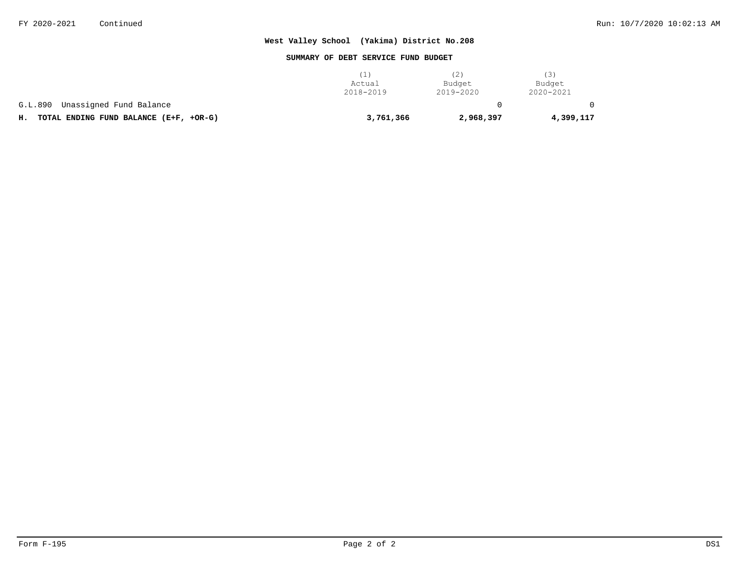#### **SUMMARY OF DEBT SERVICE FUND BUDGET**

|                                              | (1)       | (2)       | (3)       |
|----------------------------------------------|-----------|-----------|-----------|
|                                              | Actual    | Budget    | Budget    |
|                                              | 2018-2019 | 2019-2020 | 2020-2021 |
| Unassigned Fund Balance<br>G.L.890           |           |           |           |
| TOTAL ENDING FUND BALANCE (E+F, +OR-G)<br>н. | 3,761,366 | 2,968,397 | 4,399,117 |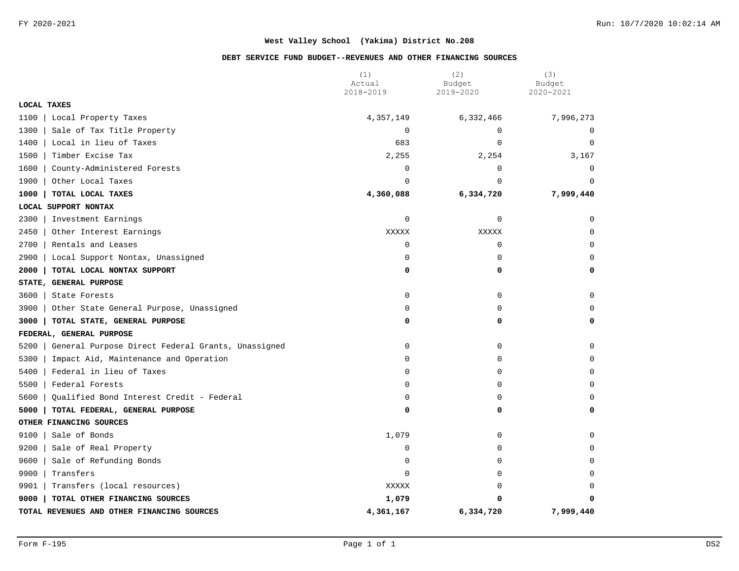### **DEBT SERVICE FUND BUDGET--REVENUES AND OTHER FINANCING SOURCES**

|                                                           | (1)<br>Actual | (2)<br>Budget | (3)<br>Budget |
|-----------------------------------------------------------|---------------|---------------|---------------|
|                                                           | 2018-2019     | 2019-2020     | 2020-2021     |
| <b>LOCAL TAXES</b>                                        |               |               |               |
| 1100<br>Local Property Taxes                              | 4,357,149     | 6,332,466     | 7,996,273     |
| 1300<br>Sale of Tax Title Property                        | $\mathbf 0$   | $\mathbf 0$   | $\mathbf 0$   |
| 1400<br>Local in lieu of Taxes                            | 683           | $\mathbf 0$   | $\mathbf 0$   |
| 1500<br>Timber Excise Tax                                 | 2,255         | 2,254         | 3,167         |
| 1600<br>County-Administered Forests                       | 0             | $\mathbf 0$   | $\mathbf 0$   |
| 1900<br>Other Local Taxes                                 | $\Omega$      | $\Omega$      | $\Omega$      |
| 1000<br>TOTAL LOCAL TAXES                                 | 4,360,088     | 6,334,720     | 7,999,440     |
| LOCAL SUPPORT NONTAX                                      |               |               |               |
| 2300<br>Investment Earnings                               | 0             | 0             | $\Omega$      |
| 2450<br>Other Interest Earnings                           | XXXXX         | XXXXX         | $\Omega$      |
| 2700<br>Rentals and Leases                                | 0             | 0             | $\Omega$      |
| 2900<br>Local Support Nontax, Unassigned                  | 0             | $\mathbf 0$   | $\Omega$      |
| 2000<br>TOTAL LOCAL NONTAX SUPPORT                        | 0             | 0             | 0             |
| STATE, GENERAL PURPOSE                                    |               |               |               |
| 3600<br>State Forests                                     | 0             | 0             | 0             |
| 3900<br>Other State General Purpose, Unassigned           | $\mathbf 0$   | $\mathbf 0$   | $\Omega$      |
| 3000<br>TOTAL STATE, GENERAL PURPOSE                      | 0             | 0             | 0             |
| FEDERAL, GENERAL PURPOSE                                  |               |               |               |
| General Purpose Direct Federal Grants, Unassigned<br>5200 | 0             | 0             | $\Omega$      |
| 5300<br>Impact Aid, Maintenance and Operation             | $\Omega$      | $\Omega$      | $\Omega$      |
| 5400<br>Federal in lieu of Taxes                          | 0             | 0             | 0             |
| 5500<br>Federal Forests                                   | 0             | 0             | $\Omega$      |
| 5600<br>Oualified Bond Interest Credit - Federal          | 0             | $\Omega$      | $\Omega$      |
| 5000<br>TOTAL FEDERAL, GENERAL PURPOSE                    | 0             | 0             | 0             |
| OTHER FINANCING SOURCES                                   |               |               |               |
| 9100<br>Sale of Bonds                                     | 1,079         | 0             | $\Omega$      |
| 9200<br>Sale of Real Property                             | $\mathbf 0$   | $\Omega$      | $\Omega$      |
| 9600<br>Sale of Refunding Bonds                           | 0             | $\mathbf 0$   | $\Omega$      |
| 9900<br>Transfers                                         | $\mathbf 0$   | $\mathbf 0$   | $\Omega$      |
| 9901<br>Transfers (local resources)                       | XXXXX         | $\Omega$      | $\Omega$      |
| 9000<br>TOTAL OTHER FINANCING SOURCES                     | 1,079         | 0             | 0             |
| TOTAL REVENUES AND OTHER FINANCING SOURCES                | 4,361,167     | 6,334,720     | 7,999,440     |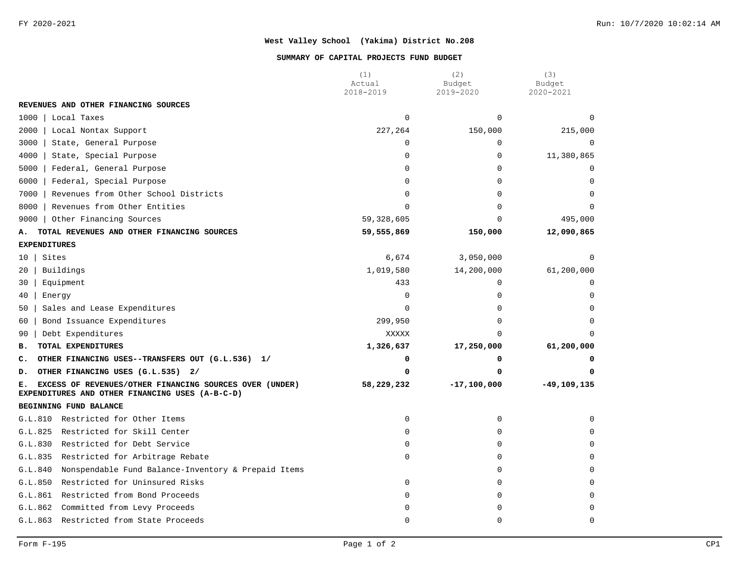#### **SUMMARY OF CAPITAL PROJECTS FUND BUDGET**

|                                                                                                                  | (1)<br>Actual | (2)<br>Budget   | (3)<br>Budget   |
|------------------------------------------------------------------------------------------------------------------|---------------|-----------------|-----------------|
|                                                                                                                  | 2018-2019     | 2019-2020       | 2020-2021       |
| REVENUES AND OTHER FINANCING SOURCES                                                                             |               |                 |                 |
| 1000<br>Local Taxes                                                                                              | $\Omega$      | $\Omega$        | $\Omega$        |
| 2000<br>Local Nontax Support                                                                                     | 227,264       | 150,000         | 215,000         |
| 3000<br>State, General Purpose                                                                                   | 0             | $\mathbf 0$     | $\Omega$        |
| 4000<br>State, Special Purpose                                                                                   | 0             | $\mathbf 0$     | 11,380,865      |
| 5000<br>Federal, General Purpose                                                                                 | $\Omega$      | $\mathbf 0$     | $\Omega$        |
| 6000<br>Federal, Special Purpose                                                                                 | $\Omega$      | $\Omega$        | $\Omega$        |
| Revenues from Other School Districts<br>7000                                                                     | $\Omega$      | $\Omega$        | $\Omega$        |
| 8000<br>Revenues from Other Entities                                                                             | $\Omega$      | $\Omega$        |                 |
| Other Financing Sources<br>9000                                                                                  | 59,328,605    | $\Omega$        | 495,000         |
| TOTAL REVENUES AND OTHER FINANCING SOURCES<br>А.                                                                 | 59,555,869    | 150,000         | 12,090,865      |
| <b>EXPENDITURES</b>                                                                                              |               |                 |                 |
| Sites<br>10 <sup>1</sup>                                                                                         | 6,674         | 3,050,000       | $\Omega$        |
| Buildings<br>20                                                                                                  | 1,019,580     | 14,200,000      | 61,200,000      |
| Equipment<br>30                                                                                                  | 433           | $\mathbf 0$     | $\Omega$        |
| Energy<br>40                                                                                                     | $\Omega$      | $\Omega$        | $\cap$          |
| Sales and Lease Expenditures<br>50                                                                               | $\Omega$      | $\Omega$        | $\Omega$        |
| Bond Issuance Expenditures<br>60                                                                                 | 299,950       | $\Omega$        | $\Omega$        |
| Debt Expenditures<br>90                                                                                          | XXXXX         | $\Omega$        |                 |
| TOTAL EXPENDITURES<br>в.                                                                                         | 1,326,637     | 17,250,000      | 61,200,000      |
| OTHER FINANCING USES--TRANSFERS OUT (G.L.536) 1/<br>c.                                                           | 0             | 0               |                 |
| OTHER FINANCING USES (G.L.535) 2/<br>D.                                                                          | 0             | 0               |                 |
| EXCESS OF REVENUES/OTHER FINANCING SOURCES OVER (UNDER)<br>Е.<br>EXPENDITURES AND OTHER FINANCING USES (A-B-C-D) | 58,229,232    | $-17, 100, 000$ | $-49, 109, 135$ |
| BEGINNING FUND BALANCE                                                                                           |               |                 |                 |
| G.L.810<br>Restricted for Other Items                                                                            | $\Omega$      | $\Omega$        | $\Omega$        |
| G.L.825<br>Restricted for Skill Center                                                                           | 0             | $\mathbf 0$     | $\cap$          |
| G.L.830<br>Restricted for Debt Service                                                                           | $\Omega$      | $\mathbf 0$     | $\cap$          |
| G.L.835<br>Restricted for Arbitrage Rebate                                                                       | 0             | $\mathbf 0$     |                 |
| G.L.840<br>Nonspendable Fund Balance-Inventory & Prepaid Items                                                   |               | $\mathbf 0$     |                 |
| G.L.850<br>Restricted for Uninsured Risks                                                                        | 0             | $\mathbf 0$     | $\cap$          |
| G.L.861<br>Restricted from Bond Proceeds                                                                         | 0             | $\mathbf 0$     | 0               |
| G.L.862<br>Committed from Levy Proceeds                                                                          | 0             | 0               | $\Omega$        |
| Restricted from State Proceeds<br>G.L.863                                                                        | 0             | $\mathbf 0$     | 0               |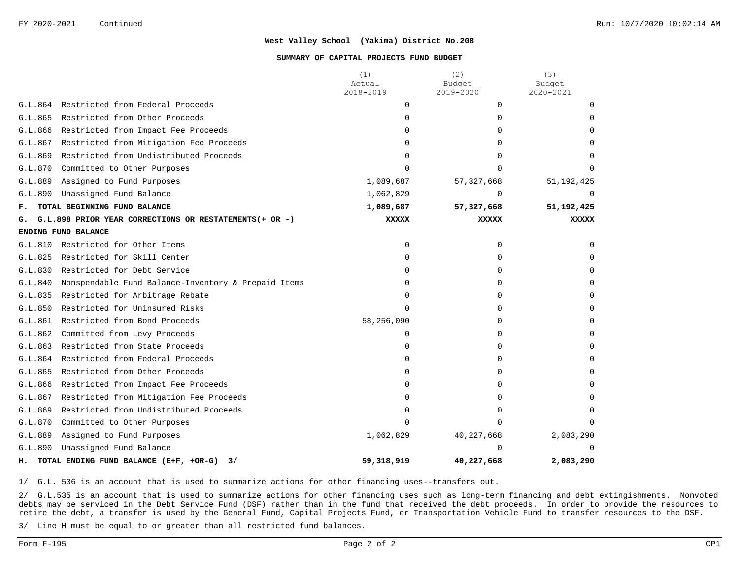#### **SUMMARY OF CAPITAL PROJECTS FUND BUDGET**

|                |                                                         | (1)<br>Actual | (2)<br>Budget | (3)<br>Budget |
|----------------|---------------------------------------------------------|---------------|---------------|---------------|
|                |                                                         | 2018-2019     | 2019-2020     | 2020-2021     |
| G.L.864        | Restricted from Federal Proceeds                        | 0             | $\Omega$      | $\Omega$      |
| G.L.865        | Restricted from Other Proceeds                          | $\Omega$      | 0             | $\Omega$      |
| G.L.866        | Restricted from Impact Fee Proceeds                     | $\Omega$      | 0             | 0             |
| G.L.867        | Restricted from Mitigation Fee Proceeds                 | $\Omega$      | 0             | <sup>n</sup>  |
| G.L.869        | Restricted from Undistributed Proceeds                  | $\Omega$      | 0             |               |
| G.L.870        | Committed to Other Purposes                             | $\cap$        | <sup>n</sup>  |               |
| G.L.889        | Assigned to Fund Purposes                               | 1,089,687     | 57, 327, 668  | 51, 192, 425  |
| G.L.890        | Unassigned Fund Balance                                 | 1,062,829     | $\Omega$      |               |
| $\mathbf{F}$ . | TOTAL BEGINNING FUND BALANCE                            | 1,089,687     | 57, 327, 668  | 51, 192, 425  |
| G.             | G.L.898 PRIOR YEAR CORRECTIONS OR RESTATEMENTS (+ OR -) | <b>XXXXX</b>  | <b>XXXXX</b>  | <b>XXXXX</b>  |
|                | ENDING FUND BALANCE                                     |               |               |               |
| G.L.810        | Restricted for Other Items                              | $\Omega$      | $\Omega$      | $\Omega$      |
| G.L.825        | Restricted for Skill Center                             | $\Omega$      | $\Omega$      | $\Omega$      |
| G.L.830        | Restricted for Debt Service                             | 0             | 0             | $\Omega$      |
| G.L.840        | Nonspendable Fund Balance-Inventory & Prepaid Items     | $\Omega$      | 0             | $\Omega$      |
| G.L.835        | Restricted for Arbitrage Rebate                         | $\Omega$      | 0             | $\Omega$      |
| G.L.850        | Restricted for Uninsured Risks                          | $\Omega$      | 0             | $\Omega$      |
| G.L.861        | Restricted from Bond Proceeds                           | 58,256,090    | $\Omega$      | $\Omega$      |
| G.L.862        | Committed from Levy Proceeds                            | $\Omega$      | $\Omega$      | $\Omega$      |
| G.L.863        | Restricted from State Proceeds                          | 0             | 0             | $\Omega$      |
| G.L.864        | Restricted from Federal Proceeds                        | $\Omega$      | $\Omega$      | $\Omega$      |
| G.L.865        | Restricted from Other Proceeds                          | $\Omega$      | 0             | $\Omega$      |
| G.L.866        | Restricted from Impact Fee Proceeds                     | $\Omega$      | 0             |               |
| G.L.867        | Restricted from Mitigation Fee Proceeds                 | $\Omega$      | $\Omega$      |               |
| G.L.869        | Restricted from Undistributed Proceeds                  | $\Omega$      | 0             | $\cap$        |
| G.L.870        | Committed to Other Purposes                             | $\Omega$      | $\Omega$      |               |
| G.L.889        | Assigned to Fund Purposes                               | 1,062,829     | 40, 227, 668  | 2,083,290     |
| G.L.890        | Unassigned Fund Balance                                 |               |               | $\cap$        |
| н.             | TOTAL ENDING FUND BALANCE (E+F, +OR-G)<br>3/            | 59,318,919    | 40,227,668    | 2,083,290     |

1/ G.L. 536 is an account that is used to summarize actions for other financing uses--transfers out.

2/ G.L.535 is an account that is used to summarize actions for other financing uses such as long-term financing and debt extingishments. Nonvoted debts may be serviced in the Debt Service Fund (DSF) rather than in the fund that received the debt proceeds. In order to provide the resources to retire the debt, a transfer is used by the General Fund, Capital Projects Fund, or Transportation Vehicle Fund to transfer resources to the DSF.

3/ Line H must be equal to or greater than all restricted fund balances.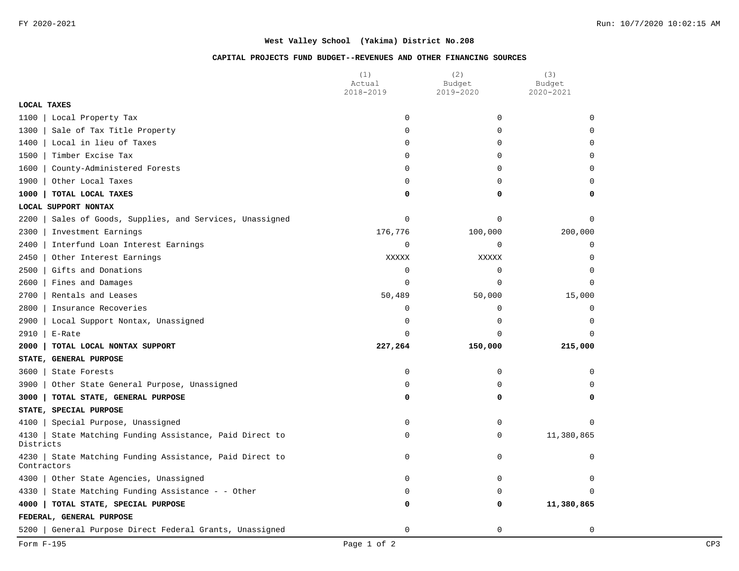### **CAPITAL PROJECTS FUND BUDGET--REVENUES AND OTHER FINANCING SOURCES**

|                                                                          | (1)<br>Actual | (2)<br>Budget | (3)<br>Budget |
|--------------------------------------------------------------------------|---------------|---------------|---------------|
|                                                                          | 2018-2019     | 2019-2020     | 2020-2021     |
| LOCAL TAXES                                                              |               |               |               |
| 1100<br>Local Property Tax                                               | 0             | $\mathbf 0$   | $\Omega$      |
| Sale of Tax Title Property<br>1300                                       | 0             | $\mathbf 0$   | $\Omega$      |
| 1400<br>Local in lieu of Taxes                                           | 0             | 0             | $\Omega$      |
| 1500<br>Timber Excise Tax                                                | 0             | 0             | 0             |
| 1600<br>County-Administered Forests                                      | 0             | $\Omega$      | $\Omega$      |
| 1900<br>Other Local Taxes                                                | 0             | $\mathbf 0$   | 0             |
| 1000<br>TOTAL LOCAL TAXES                                                | 0             | 0             | 0             |
| LOCAL SUPPORT NONTAX                                                     |               |               |               |
| 2200<br>Sales of Goods, Supplies, and Services, Unassigned               | 0             | $\Omega$      | $\Omega$      |
| 2300<br>Investment Earnings                                              | 176,776       | 100,000       | 200,000       |
| 2400<br>Interfund Loan Interest Earnings                                 | 0             | 0             | $\mathbf 0$   |
| 2450<br>Other Interest Earnings                                          | <b>XXXXX</b>  | XXXXX         | $\mathbf 0$   |
| 2500<br>Gifts and Donations                                              | 0             | $\mathbf 0$   | $\Omega$      |
| 2600<br>Fines and Damages                                                | 0             | $\mathbf 0$   | $\mathbf 0$   |
| 2700<br>Rentals and Leases                                               | 50,489        | 50,000        | 15,000        |
| 2800<br>Insurance Recoveries                                             | 0             | $\mathbf 0$   | $\mathbf 0$   |
| 2900<br>Local Support Nontax, Unassigned                                 | 0             | 0             | $\Omega$      |
| 2910<br>E-Rate                                                           | 0             | $\mathbf 0$   | $\Omega$      |
| 2000<br>TOTAL LOCAL NONTAX SUPPORT                                       | 227,264       | 150,000       | 215,000       |
| STATE, GENERAL PURPOSE                                                   |               |               |               |
| 3600<br>State Forests                                                    | 0             | $\mathbf 0$   | $\Omega$      |
| Other State General Purpose, Unassigned<br>3900                          | 0             | 0             | $\Omega$      |
| 3000<br>TOTAL STATE, GENERAL PURPOSE                                     | 0             | 0             | $\Omega$      |
| STATE, SPECIAL PURPOSE                                                   |               |               |               |
| 4100<br>Special Purpose, Unassigned                                      | 0             | $\mathbf 0$   | $\Omega$      |
| State Matching Funding Assistance, Paid Direct to<br>4130<br>Districts   | 0             | 0             | 11,380,865    |
| State Matching Funding Assistance, Paid Direct to<br>4230<br>Contractors | 0             | 0             | 0             |
| 4300<br>Other State Agencies, Unassigned                                 | 0             | 0             | $\mathbf 0$   |
| 4330<br>State Matching Funding Assistance - - Other                      | 0             | $\Omega$      | $\Omega$      |
| 4000<br>TOTAL STATE, SPECIAL PURPOSE                                     | 0             | 0             | 11,380,865    |
| FEDERAL, GENERAL PURPOSE                                                 |               |               |               |
| General Purpose Direct Federal Grants, Unassigned<br>5200                | 0             | $\mathbf 0$   | 0             |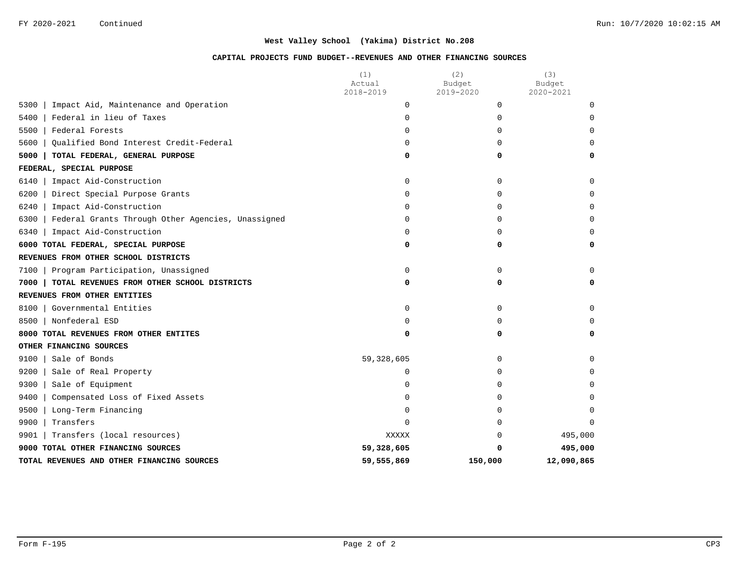### **CAPITAL PROJECTS FUND BUDGET--REVENUES AND OTHER FINANCING SOURCES**

|                                                           | (1)<br>Actual | (2)<br>Budget | (3)<br>Budget |
|-----------------------------------------------------------|---------------|---------------|---------------|
|                                                           | 2018-2019     | 2019-2020     | 2020-2021     |
| 5300<br>Impact Aid, Maintenance and Operation             | $\mathbf 0$   | 0             | 0             |
| Federal in lieu of Taxes<br>5400                          | 0             | $\Omega$      | $\Omega$      |
| 5500<br>Federal Forests                                   | 0             | $\Omega$      | $\Omega$      |
| 5600<br>Oualified Bond Interest Credit-Federal            | $\Omega$      | $\Omega$      | $\Omega$      |
| 5000<br>TOTAL FEDERAL, GENERAL PURPOSE                    | 0             | 0             | $\Omega$      |
| FEDERAL, SPECIAL PURPOSE                                  |               |               |               |
| 6140<br>Impact Aid-Construction                           | 0             | 0             | $\Omega$      |
| 6200<br>Direct Special Purpose Grants                     | $\Omega$      | $\Omega$      | $\Omega$      |
| 6240<br>Impact Aid-Construction                           | $\Omega$      | $\Omega$      | $\Omega$      |
| 6300<br>Federal Grants Through Other Agencies, Unassigned | 0             | $\Omega$      | $\Omega$      |
| 6340<br>Impact Aid-Construction                           | 0             | $\Omega$      | $\Omega$      |
| 6000 TOTAL FEDERAL, SPECIAL PURPOSE                       | 0             | 0             | 0             |
| REVENUES FROM OTHER SCHOOL DISTRICTS                      |               |               |               |
| 7100<br>Program Participation, Unassigned                 | 0             | $\Omega$      | $\Omega$      |
| 7000<br>TOTAL REVENUES FROM OTHER SCHOOL DISTRICTS        | 0             | 0             | 0             |
| REVENUES FROM OTHER ENTITIES                              |               |               |               |
| 8100<br>Governmental Entities                             | $\Omega$      | $\Omega$      | $\Omega$      |
| Nonfederal ESD<br>8500                                    | $\Omega$      | $\Omega$      | $\Omega$      |
| 8000 TOTAL REVENUES FROM OTHER ENTITES                    | 0             | 0             | 0             |
| OTHER FINANCING SOURCES                                   |               |               |               |
| 9100<br>Sale of Bonds                                     | 59,328,605    | $\mathbf 0$   | $\Omega$      |
| 9200<br>Sale of Real Property                             | $\Omega$      | $\Omega$      | $\Omega$      |
| 9300<br>Sale of Equipment                                 | $\Omega$      | $\Omega$      | $\Omega$      |
| 9400<br>Compensated Loss of Fixed Assets                  | 0             | $\Omega$      |               |
| 9500<br>Long-Term Financing                               | 0             | $\Omega$      | $\Omega$      |
| 9900<br>Transfers                                         | 0             | $\Omega$      | $\Omega$      |
| 9901<br>Transfers (local resources)                       | XXXXX         | $\Omega$      | 495,000       |
| 9000 TOTAL OTHER FINANCING SOURCES                        | 59,328,605    | 0             | 495,000       |
| TOTAL REVENUES AND OTHER FINANCING SOURCES                | 59,555,869    | 150,000       | 12,090,865    |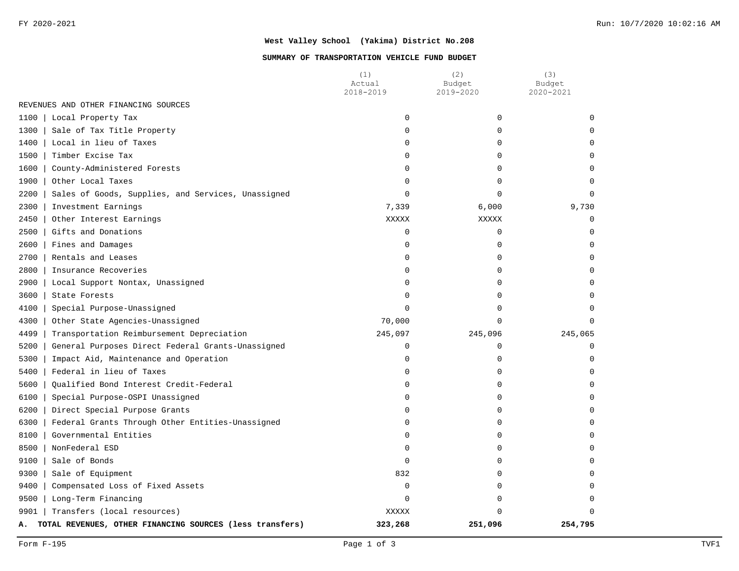#### **SUMMARY OF TRANSPORTATION VEHICLE FUND BUDGET**

|                                                                | (1)<br>Actual | (2)<br>Budget | (3)<br>Budget |
|----------------------------------------------------------------|---------------|---------------|---------------|
|                                                                | 2018-2019     | 2019-2020     | 2020-2021     |
| REVENUES AND OTHER FINANCING SOURCES                           |               |               |               |
| 1100<br>Local Property Tax                                     | $\Omega$      | $\mathbf 0$   | $\Omega$      |
| 1300<br>Sale of Tax Title Property                             | 0             | $\mathbf 0$   | 0             |
| 1400<br>Local in lieu of Taxes                                 | 0             | $\mathbf 0$   | $\Omega$      |
| 1500<br>Timber Excise Tax                                      | 0             | $\mathbf 0$   | $\Omega$      |
| 1600<br>County-Administered Forests                            | 0             | $\mathbf 0$   | $\Omega$      |
| 1900<br>Other Local Taxes                                      | 0             | $\mathbf 0$   | $\Omega$      |
| 2200<br>Sales of Goods, Supplies, and Services, Unassigned     | $\Omega$      | $\Omega$      | $\Omega$      |
| 2300<br>Investment Earnings                                    | 7,339         | 6,000         | 9,730         |
| 2450<br>Other Interest Earnings                                | XXXXX         | <b>XXXXX</b>  | $\mathbf 0$   |
| 2500<br>Gifts and Donations                                    | 0             | $\mathbf 0$   | $\Omega$      |
| 2600<br>Fines and Damages                                      | 0             | 0             | $\Omega$      |
| 2700<br>Rentals and Leases                                     | 0             | $\mathbf 0$   | $\Omega$      |
| 2800<br>Insurance Recoveries                                   | 0             | $\mathbf 0$   | $\Omega$      |
| 2900<br>Local Support Nontax, Unassigned                       | 0             | $\mathbf 0$   | <sup>0</sup>  |
| 3600<br>State Forests                                          | 0             | $\mathbf 0$   | $\Omega$      |
| 4100<br>Special Purpose-Unassigned                             | $\Omega$      | $\mathbf 0$   | $\Omega$      |
| 4300<br>Other State Agencies-Unassigned                        | 70,000        | $\Omega$      | $\Omega$      |
| 4499<br>Transportation Reimbursement Depreciation              | 245,097       | 245,096       | 245,065       |
| 5200<br>General Purposes Direct Federal Grants-Unassigned      | $\mathsf 0$   | $\mathbf 0$   | $\Omega$      |
| 5300<br>Impact Aid, Maintenance and Operation                  | 0             | $\mathbf 0$   | $\Omega$      |
| 5400<br>Federal in lieu of Taxes                               | $\mathsf 0$   | 0             | $\mathbf 0$   |
| 5600<br>Qualified Bond Interest Credit-Federal                 | 0             | $\mathbf 0$   | $\mathbf 0$   |
| 6100<br>Special Purpose-OSPI Unassigned                        | 0             | $\mathbf 0$   | $\Omega$      |
| 6200<br>Direct Special Purpose Grants                          | 0             | 0             | $\Omega$      |
| 6300<br>Federal Grants Through Other Entities-Unassigned       | 0             | $\mathbf 0$   | $\Omega$      |
| 8100<br>Governmental Entities                                  | 0             | $\Omega$      | $\Omega$      |
| 8500<br>NonFederal ESD                                         | 0             | $\mathbf 0$   | $\Omega$      |
| 9100<br>Sale of Bonds                                          | $\Omega$      | $\mathbf 0$   | $\Omega$      |
| 9300<br>Sale of Equipment                                      | 832           | $\Omega$      | $\Omega$      |
| 9400<br>Compensated Loss of Fixed Assets                       | $\mathsf 0$   | $\mathbf 0$   | $\Omega$      |
| 9500<br>Long-Term Financing                                    | 0             | $\mathbf 0$   | 0             |
| Transfers (local resources)<br>9901                            | <b>XXXXX</b>  | $\Omega$      | $\Omega$      |
| TOTAL REVENUES, OTHER FINANCING SOURCES (less transfers)<br>А. | 323,268       | 251,096       | 254,795       |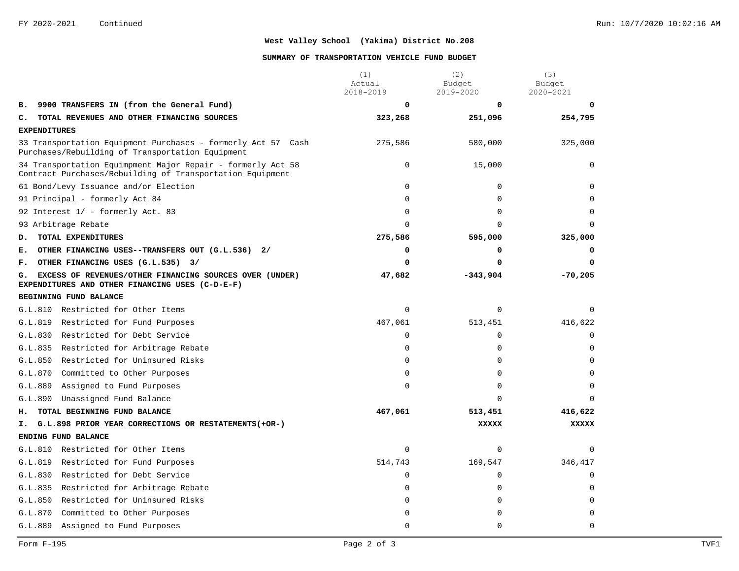#### **SUMMARY OF TRANSPORTATION VEHICLE FUND BUDGET**

|                                                                                                                          | (1)<br>Actual<br>2018-2019 | (2)<br>Budget            | (3)<br>Budget  |
|--------------------------------------------------------------------------------------------------------------------------|----------------------------|--------------------------|----------------|
| 9900 TRANSFERS IN (from the General Fund)                                                                                | 0                          | 2019-2020<br>$\mathbf 0$ | 2020-2021<br>n |
| в.<br>TOTAL REVENUES AND OTHER FINANCING SOURCES<br>c.                                                                   | 323,268                    | 251,096                  | 254,795        |
| <b>EXPENDITURES</b>                                                                                                      |                            |                          |                |
| 33 Transportation Equipment Purchases - formerly Act 57 Cash                                                             | 275,586                    | 580,000                  | 325,000        |
| Purchases/Rebuilding of Transportation Equipment                                                                         |                            |                          |                |
| 34 Transportation Equimpment Major Repair - formerly Act 58<br>Contract Purchases/Rebuilding of Transportation Equipment | $\mathbf 0$                | 15,000                   | $\mathbf 0$    |
| 61 Bond/Levy Issuance and/or Election                                                                                    | $\Omega$                   | $\Omega$                 | $\Omega$       |
| 91 Principal - formerly Act 84                                                                                           | $\Omega$                   | $\Omega$                 | $\Omega$       |
| 92 Interest 1/ - formerly Act. 83                                                                                        | $\Omega$                   | $\Omega$                 | $\Omega$       |
| 93 Arbitrage Rebate                                                                                                      | $\Omega$                   | $\Omega$                 | $\cap$         |
| TOTAL EXPENDITURES<br>D.                                                                                                 | 275,586                    | 595,000                  | 325,000        |
| OTHER FINANCING USES--TRANSFERS OUT (G.L.536) 2/<br>Е.                                                                   | 0                          | 0                        | 0              |
| OTHER FINANCING USES (G.L.535) 3/<br>F.                                                                                  | 0                          | 0                        | 0              |
| EXCESS OF REVENUES/OTHER FINANCING SOURCES OVER (UNDER)<br>G.<br>EXPENDITURES AND OTHER FINANCING USES (C-D-E-F)         | 47,682                     | $-343,904$               | $-70,205$      |
| BEGINNING FUND BALANCE                                                                                                   |                            |                          |                |
| G.L.810 Restricted for Other Items                                                                                       | $\Omega$                   | $\Omega$                 | $\Omega$       |
| G.L.819<br>Restricted for Fund Purposes                                                                                  | 467,061                    | 513,451                  | 416,622        |
| Restricted for Debt Service<br>G.L.830                                                                                   | $\Omega$                   | $\Omega$                 | $\Omega$       |
| G.L.835<br>Restricted for Arbitrage Rebate                                                                               | $\Omega$                   | $\Omega$                 | $\Omega$       |
| Restricted for Uninsured Risks<br>G.L.850                                                                                | $\Omega$                   | $\Omega$                 | $\Omega$       |
| G.L.870<br>Committed to Other Purposes                                                                                   | 0                          | $\mathbf 0$              | $\Omega$       |
| G.L.889<br>Assigned to Fund Purposes                                                                                     | 0                          | $\Omega$                 | $\Omega$       |
| Unassigned Fund Balance<br>G.L.890                                                                                       |                            | $\Omega$                 | $\cap$         |
| TOTAL BEGINNING FUND BALANCE<br>н.                                                                                       | 467,061                    | 513,451                  | 416,622        |
| G.L.898 PRIOR YEAR CORRECTIONS OR RESTATEMENTS (+OR-)<br>Ι.                                                              |                            | <b>XXXXX</b>             | <b>XXXXX</b>   |
| ENDING FUND BALANCE                                                                                                      |                            |                          |                |
| G.L.810 Restricted for Other Items                                                                                       | $\Omega$                   | $\Omega$                 | $\Omega$       |
| G.L.819<br>Restricted for Fund Purposes                                                                                  | 514,743                    | 169,547                  | 346,417        |
| G.L.830<br>Restricted for Debt Service                                                                                   | $\mathbf 0$                | $\mathbf 0$              | $\mathbf 0$    |
| G.L.835 Restricted for Arbitrage Rebate                                                                                  | $\Omega$                   | $\mathbf 0$              | $\Omega$       |
| G.L.850<br>Restricted for Uninsured Risks                                                                                | 0                          | 0                        | $\Omega$       |
| G.L.870<br>Committed to Other Purposes                                                                                   | $\Omega$                   | 0                        | $\Omega$       |
| G.L.889<br>Assigned to Fund Purposes                                                                                     | $\Omega$                   | $\Omega$                 | $\Omega$       |